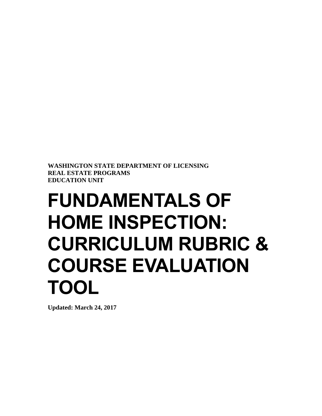**WASHINGTON STATE DEPARTMENT OF LICENSING REAL ESTATE PROGRAMS EDUCATION UNIT**

## **FUNDAMENTALS OF HOME INSPECTION: CURRICULUM RUBRIC & COURSE EVALUATION TOOL**

**Updated: March 24, 2017**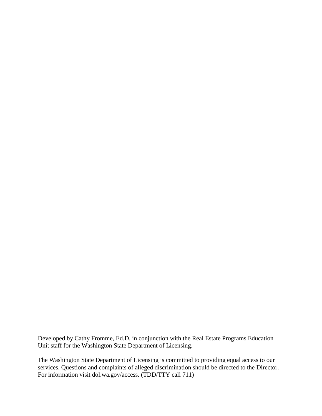Developed by Cathy Fromme, Ed.D, in conjunction with the Real Estate Programs Education Unit staff for the Washington State Department of Licensing.

The Washington State Department of Licensing is committed to providing equal access to our services. Questions and complaints of alleged discrimination should be directed to the Director. For information visit dol.wa.gov/access. (TDD/TTY call 711)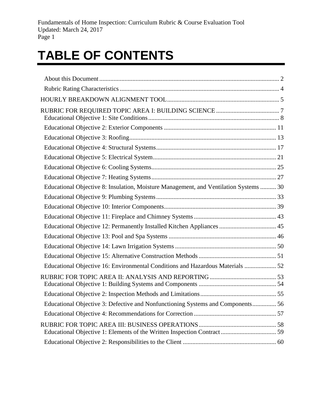## **TABLE OF CONTENTS**

| Educational Objective 8: Insulation, Moisture Management, and Ventilation Systems  30 |  |
|---------------------------------------------------------------------------------------|--|
|                                                                                       |  |
|                                                                                       |  |
|                                                                                       |  |
|                                                                                       |  |
|                                                                                       |  |
|                                                                                       |  |
|                                                                                       |  |
| Educational Objective 16: Environmental Conditions and Hazardous Materials  52        |  |
|                                                                                       |  |
|                                                                                       |  |
| Educational Objective 3: Defective and Nonfunctioning Systems and Components 56       |  |
|                                                                                       |  |
|                                                                                       |  |
|                                                                                       |  |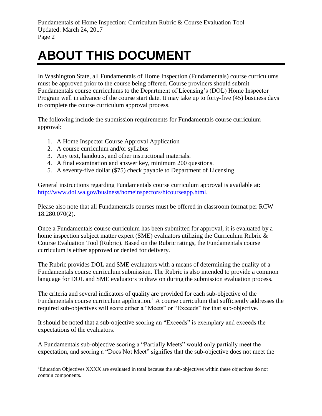## <span id="page-3-0"></span>**ABOUT THIS DOCUMENT**

In Washington State, all Fundamentals of Home Inspection (Fundamentals) course curriculums must be approved prior to the course being offered. Course providers should submit Fundamentals course curriculums to the Department of Licensing's (DOL) Home Inspector Program well in advance of the course start date. It may take up to forty-five (45) business days to complete the course curriculum approval process.

The following include the submission requirements for Fundamentals course curriculum approval:

- 1. A Home Inspector Course Approval Application
- 2. A course curriculum and/or syllabus

 $\overline{a}$ 

- 3. Any text, handouts, and other instructional materials.
- 4. A final examination and answer key, minimum 200 questions.
- 5. A seventy-five dollar (\$75) check payable to Department of Licensing

General instructions regarding Fundamentals course curriculum approval is available at: [http://www.dol.wa.gov/business/homeinspectors/hicourseapp.html.](http://www.dol.wa.gov/business/homeinspectors/hicourseapp.html)

Please also note that all Fundamentals courses must be offered in classroom format per RCW 18.280.070(2).

Once a Fundamentals course curriculum has been submitted for approval, it is evaluated by a home inspection subject matter expert (SME) evaluators utilizing the Curriculum Rubric & Course Evaluation Tool (Rubric). Based on the Rubric ratings, the Fundamentals course curriculum is either approved or denied for delivery.

The Rubric provides DOL and SME evaluators with a means of determining the quality of a Fundamentals course curriculum submission. The Rubric is also intended to provide a common language for DOL and SME evaluators to draw on during the submission evaluation process.

The criteria and several indicators of quality are provided for each sub-objective of the Fundamentals course curriculum application.<sup>1</sup> A course curriculum that sufficiently addresses the required sub-objectives will score either a "Meets" or "Exceeds" for that sub-objective.

It should be noted that a sub-objective scoring an "Exceeds" is exemplary and exceeds the expectations of the evaluators.

A Fundamentals sub-objective scoring a "Partially Meets" would only partially meet the expectation, and scoring a "Does Not Meet" signifies that the sub-objective does not meet the

<sup>&</sup>lt;sup>1</sup>Education Objectives XXXX are evaluated in total because the sub-objectives within these objectives do not contain components.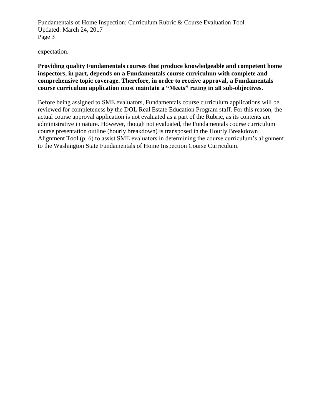expectation.

#### **Providing quality Fundamentals courses that produce knowledgeable and competent home inspectors, in part, depends on a Fundamentals course curriculum with complete and comprehensive topic coverage. Therefore, in order to receive approval, a Fundamentals course curriculum application must maintain a "Meets" rating in all sub-objectives.**

Before being assigned to SME evaluators, Fundamentals course curriculum applications will be reviewed for completeness by the DOL Real Estate Education Program staff. For this reason, the actual course approval application is not evaluated as a part of the Rubric, as its contents are administrative in nature. However, though not evaluated, the Fundamentals course curriculum course presentation outline (hourly breakdown) is transposed in the Hourly Breakdown Alignment Tool (p. 6) to assist SME evaluators in determining the course curriculum's alignment to the Washington State Fundamentals of Home Inspection Course Curriculum.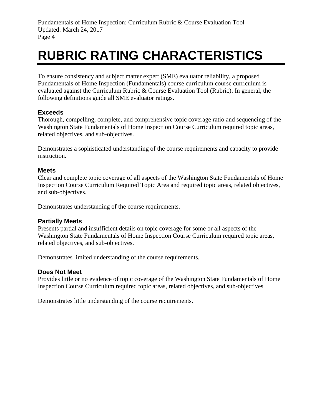### <span id="page-5-0"></span>**RUBRIC RATING CHARACTERISTICS**

To ensure consistency and subject matter expert (SME) evaluator reliability, a proposed Fundamentals of Home Inspection (Fundamentals) course curriculum course curriculum is evaluated against the Curriculum Rubric & Course Evaluation Tool (Rubric). In general, the following definitions guide all SME evaluator ratings.

#### **Exceeds**

Thorough, compelling, complete, and comprehensive topic coverage ratio and sequencing of the Washington State Fundamentals of Home Inspection Course Curriculum required topic areas, related objectives, and sub-objectives.

Demonstrates a sophisticated understanding of the course requirements and capacity to provide instruction.

#### **Meets**

Clear and complete topic coverage of all aspects of the Washington State Fundamentals of Home Inspection Course Curriculum Required Topic Area and required topic areas, related objectives, and sub-objectives.

Demonstrates understanding of the course requirements.

#### **Partially Meets**

Presents partial and insufficient details on topic coverage for some or all aspects of the Washington State Fundamentals of Home Inspection Course Curriculum required topic areas, related objectives, and sub-objectives.

Demonstrates limited understanding of the course requirements.

#### **Does Not Meet**

Provides little or no evidence of topic coverage of the Washington State Fundamentals of Home Inspection Course Curriculum required topic areas, related objectives, and sub-objectives

Demonstrates little understanding of the course requirements.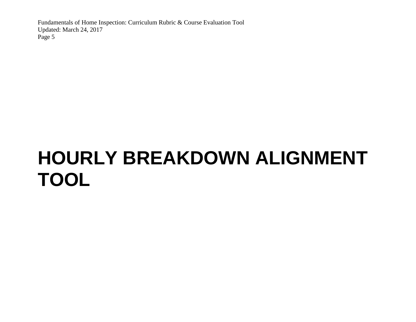# <span id="page-6-0"></span>**HOURLY BREAKDOWN ALIGNMENT TOOL**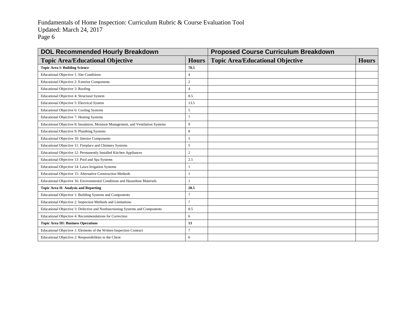| <b>DOL Recommended Hourly Breakdown</b>                                           |                | <b>Proposed Course Curriculum Breakdown</b> |              |  |
|-----------------------------------------------------------------------------------|----------------|---------------------------------------------|--------------|--|
| <b>Topic Area/Educational Objective</b>                                           | <b>Hours</b>   | <b>Topic Area/Educational Objective</b>     | <b>Hours</b> |  |
| <b>Topic Area I: Building Science</b>                                             | 78.5           |                                             |              |  |
| Educational Objective 1: Site Conditions                                          | $\overline{4}$ |                                             |              |  |
| Educational Objective 2: Exterior Components                                      | $\overline{c}$ |                                             |              |  |
| Educational Objective 3: Roofing                                                  | $\overline{4}$ |                                             |              |  |
| Educational Objective 4: Structural System                                        | 8.5            |                                             |              |  |
| Educational Objective 5: Electrical System                                        | 13.5           |                                             |              |  |
| Educational Objective 6: Cooling Systems                                          | 5              |                                             |              |  |
| Educational Objective 7: Heating Systems                                          | $\overline{7}$ |                                             |              |  |
| Educational Objective 8: Insulation, Moisture Management, and Ventilation Systems | 9              |                                             |              |  |
| Educational Objective 9: Plumbing Systems                                         | 8              |                                             |              |  |
| Educational Objective 10: Interior Components                                     | 5              |                                             |              |  |
| Educational Objective 11: Fireplace and Chimney Systems                           | 5              |                                             |              |  |
| Educational Objective 12: Permanently Installed Kitchen Appliances                | $\mathbf{2}$   |                                             |              |  |
| Educational Objective 13: Pool and Spa Systems                                    | 2.5            |                                             |              |  |
| Educational Objective 14: Lawn Irrigation Systems                                 |                |                                             |              |  |
| Educational Objective 15: Alternative Construction Methods                        |                |                                             |              |  |
| Educational Objective 16: Environmental Conditions and Hazardous Materials        |                |                                             |              |  |
| <b>Topic Area II: Analysis and Reporting</b>                                      | 28.5           |                                             |              |  |
| Educational Objective 1: Building Systems and Components                          | 7              |                                             |              |  |
| Educational Objective 2: Inspection Methods and Limitations                       | $\overline{7}$ |                                             |              |  |
| Educational Objective 3: Defective and Nonfunctioning Systems and Components      | 8.5            |                                             |              |  |
| Educational Objective 4: Recommendations for Correction                           | 6              |                                             |              |  |
| <b>Topic Area III: Business Operations</b>                                        | 13             |                                             |              |  |
| Educational Objective 1: Elements of the Written Inspection Contract              | 7              |                                             |              |  |
| Educational Objective 2: Responsibilities to the Client                           | 6              |                                             |              |  |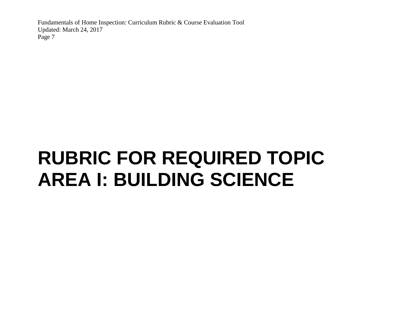# <span id="page-8-0"></span>**RUBRIC FOR REQUIRED TOPIC AREA I: BUILDING SCIENCE**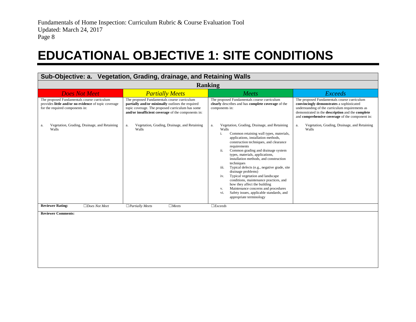### **EDUCATIONAL OBJECTIVE 1: SITE CONDITIONS**

<span id="page-9-0"></span>

| Sub-Objective: a. Vegetation, Grading, drainage, and Retaining Walls                                                                   |                                                                                                                                                                                                           |                                                                                                                                                                                                                                                                                                                                                                                                                                                                                                                                                                                                                                                                                    |                                                                                                                                                                                                                                                    |
|----------------------------------------------------------------------------------------------------------------------------------------|-----------------------------------------------------------------------------------------------------------------------------------------------------------------------------------------------------------|------------------------------------------------------------------------------------------------------------------------------------------------------------------------------------------------------------------------------------------------------------------------------------------------------------------------------------------------------------------------------------------------------------------------------------------------------------------------------------------------------------------------------------------------------------------------------------------------------------------------------------------------------------------------------------|----------------------------------------------------------------------------------------------------------------------------------------------------------------------------------------------------------------------------------------------------|
| <b>Ranking</b>                                                                                                                         |                                                                                                                                                                                                           |                                                                                                                                                                                                                                                                                                                                                                                                                                                                                                                                                                                                                                                                                    |                                                                                                                                                                                                                                                    |
| <b>Does Not Meet</b>                                                                                                                   | <b>Partially Meets</b>                                                                                                                                                                                    | Meets                                                                                                                                                                                                                                                                                                                                                                                                                                                                                                                                                                                                                                                                              | <b>Exceeds</b>                                                                                                                                                                                                                                     |
| The proposed Fundamentals course curriculum<br>provides little and/or no evidence of topic coverage<br>for the required components in: | The proposed Fundamentals course curriculum<br>partially and/or minimally outlines the required<br>topic coverage. The proposed curriculum has some<br>and/or insufficient coverage of the components in: | The proposed Fundamentals course curriculum<br>clearly describes and has complete coverage of the<br>components in:                                                                                                                                                                                                                                                                                                                                                                                                                                                                                                                                                                | The proposed Fundamentals course curriculum<br>convincingly demonstrates a sophisticated<br>understanding of the curriculum requirements as<br>demonstrated in the description and the complete<br>and comprehensive coverage of the component in: |
| Vegetation, Grading, Drainage, and Retaining<br>a.<br>Walls                                                                            | Vegetation, Grading, Drainage, and Retaining<br>a.<br>Walls                                                                                                                                               | Vegetation, Grading, Drainage, and Retaining<br>a.<br>Walls<br>Common retaining wall types, materials,<br>i.<br>applications, installation methods,<br>construction techniques, and clearance<br>requirements<br>ii.<br>Common grading and drainage system<br>types, materials, applications,<br>installation methods, and construction<br>techniques<br>Typical defects (e.g., negative grade, site<br>iii.<br>drainage problems)<br>Typical vegetation and landscape<br>iv.<br>conditions, maintenance practices, and<br>how they affect the building<br>Maintenance concerns and procedures<br>V.<br>Safety issues, applicable standards, and<br>vi.<br>appropriate terminology | Vegetation, Grading, Drainage, and Retaining<br>a.<br>Walls                                                                                                                                                                                        |
| <b>Reviewer Rating:</b><br>$\Box$ Does Not Meet                                                                                        | $\Box$ Partially Meets<br>$\Box$ Meets                                                                                                                                                                    | $\Box$ <i>Exceeds</i>                                                                                                                                                                                                                                                                                                                                                                                                                                                                                                                                                                                                                                                              |                                                                                                                                                                                                                                                    |
| <b>Reviewer Comments:</b>                                                                                                              |                                                                                                                                                                                                           |                                                                                                                                                                                                                                                                                                                                                                                                                                                                                                                                                                                                                                                                                    |                                                                                                                                                                                                                                                    |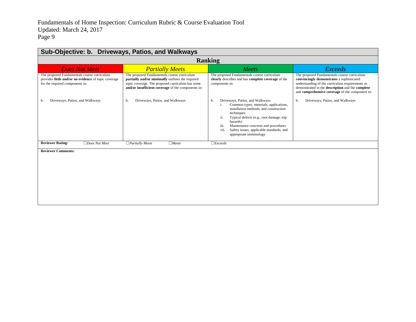| Sub-Objective: b. Driveways, Patios, and Walkways                                                                                      |                                                                                                                                                                                                           |                                                                                                                                                                                                                                                                                                                                      |                                                                                                                                                                                                                                                    |
|----------------------------------------------------------------------------------------------------------------------------------------|-----------------------------------------------------------------------------------------------------------------------------------------------------------------------------------------------------------|--------------------------------------------------------------------------------------------------------------------------------------------------------------------------------------------------------------------------------------------------------------------------------------------------------------------------------------|----------------------------------------------------------------------------------------------------------------------------------------------------------------------------------------------------------------------------------------------------|
|                                                                                                                                        |                                                                                                                                                                                                           | <b>Ranking</b>                                                                                                                                                                                                                                                                                                                       |                                                                                                                                                                                                                                                    |
| <b>Does Not Meet</b>                                                                                                                   | <b>Partially Meets</b>                                                                                                                                                                                    | Meets                                                                                                                                                                                                                                                                                                                                | <b>Exceeds</b>                                                                                                                                                                                                                                     |
| The proposed Fundamentals course curriculum<br>provides little and/or no evidence of topic coverage<br>for the required components in: | The proposed Fundamentals course curriculum<br>partially and/or minimally outlines the required<br>topic coverage. The proposed curriculum has some<br>and/or insufficient coverage of the components in: | The proposed Fundamentals course curriculum<br>clearly describes and has complete coverage of the<br>components in:                                                                                                                                                                                                                  | The proposed Fundamentals course curriculum<br>convincingly demonstrates a sophisticated<br>understanding of the curriculum requirements as<br>demonstrated in the description and the complete<br>and comprehensive coverage of the component in: |
| Driveways, Patios, and Walkways<br>b.                                                                                                  | Driveways, Patios, and Walkways<br>b.                                                                                                                                                                     | Driveways, Patios, and Walkways<br>b.<br>Common types, materials, applications,<br>installation methods, and construction<br>techniques<br>ii.<br>Typical defects (e.g., root damage, trip<br>hazards)<br>iii.<br>Maintenance concerns and procedures<br>vii.<br>Safety issues, applicable standards, and<br>appropriate terminology | Driveways, Patios, and Walkways<br>b.                                                                                                                                                                                                              |
| <b>Reviewer Rating:</b><br>$\Box$ Does Not Meet                                                                                        | $\Box$ Partially Meets<br>$\Box$ Meets                                                                                                                                                                    | $\Box$ <i>Exceeds</i>                                                                                                                                                                                                                                                                                                                |                                                                                                                                                                                                                                                    |
| <b>Reviewer Comments:</b>                                                                                                              |                                                                                                                                                                                                           |                                                                                                                                                                                                                                                                                                                                      |                                                                                                                                                                                                                                                    |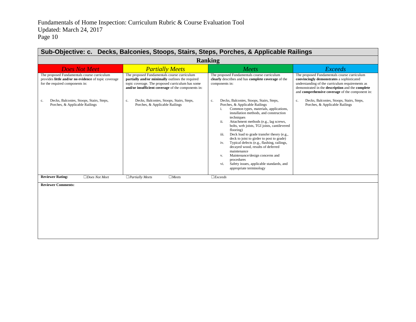|                                                                                                                                        |                                                                                                                                                                                                           | <b>Ranking</b>                                                                                                                                                                                                                                                                                                                                                                                                                                                                                                                                                                                                                                       |                                                                                                                                                                                                                                                    |
|----------------------------------------------------------------------------------------------------------------------------------------|-----------------------------------------------------------------------------------------------------------------------------------------------------------------------------------------------------------|------------------------------------------------------------------------------------------------------------------------------------------------------------------------------------------------------------------------------------------------------------------------------------------------------------------------------------------------------------------------------------------------------------------------------------------------------------------------------------------------------------------------------------------------------------------------------------------------------------------------------------------------------|----------------------------------------------------------------------------------------------------------------------------------------------------------------------------------------------------------------------------------------------------|
| <b>Does Not Meet</b>                                                                                                                   | <b>Partially Meets</b>                                                                                                                                                                                    | Meets                                                                                                                                                                                                                                                                                                                                                                                                                                                                                                                                                                                                                                                | <b>Exceeds</b>                                                                                                                                                                                                                                     |
| The proposed Fundamentals course curriculum<br>provides little and/or no evidence of topic coverage<br>for the required components in: | The proposed Fundamentals course curriculum<br>partially and/or minimally outlines the required<br>topic coverage. The proposed curriculum has some<br>and/or insufficient coverage of the components in: | The proposed Fundamentals course curriculum<br>clearly describes and has complete coverage of the<br>components in:                                                                                                                                                                                                                                                                                                                                                                                                                                                                                                                                  | The proposed Fundamentals course curriculum<br>convincingly demonstrates a sophisticated<br>understanding of the curriculum requirements as<br>demonstrated in the description and the complete<br>and comprehensive coverage of the component in: |
| Decks, Balconies, Stoops, Stairs, Steps,<br>c.<br>Porches, & Applicable Railings                                                       | Decks, Balconies, Stoops, Stairs, Steps,<br>c.<br>Porches, & Applicable Railings                                                                                                                          | Decks, Balconies, Stoops, Stairs, Steps,<br>c.<br>Porches, & Applicable Railings<br>Common types, materials, applications,<br>i.<br>installation methods, and construction<br>techniques<br>Attachment methods (e.g., lag screws,<br>ii.<br>bolts, web joists, TGI joists, cantilevered<br>flooring)<br>Deck load to grade transfer theory (e.g.,<br>iii.<br>deck to joist to girder to post to grade)<br>Typical defects (e.g., flashing, railings,<br>iv.<br>decayed wood, results of deferred<br>maintenance<br>Maintenance/design concerns and<br>V.<br>procedures<br>Safety issues, applicable standards, and<br>vi.<br>appropriate terminology | Decks, Balconies, Stoops, Stairs, Steps,<br>c.<br>Porches, & Applicable Railings                                                                                                                                                                   |
| <b>Reviewer Rating:</b><br>$\Box$ Does Not Meet                                                                                        | $\Box$ Partially Meets<br>$\Box$ Meets                                                                                                                                                                    | $\Box$ <i>Exceeds</i>                                                                                                                                                                                                                                                                                                                                                                                                                                                                                                                                                                                                                                |                                                                                                                                                                                                                                                    |
| <b>Reviewer Comments:</b>                                                                                                              |                                                                                                                                                                                                           |                                                                                                                                                                                                                                                                                                                                                                                                                                                                                                                                                                                                                                                      |                                                                                                                                                                                                                                                    |

<u> 1989 - Johann Stoff, amerikansk politiker (d. 1989)</u>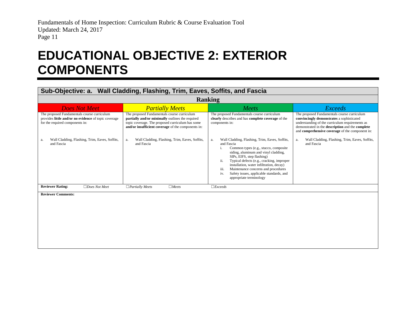### **EDUCATIONAL OBJECTIVE 2: EXTERIOR COMPONENTS**

#### **Sub-Objective: a. Wall Cladding, Flashing, Trim, Eaves, Soffits, and Fascia**

<span id="page-12-0"></span>

| <b>Ranking</b>                                                                                                                                                                                               |                                                                                                                                                                                                                                                                                |                                                                                                                                                                                                                                                                                                                                                                                                                                                                                                                                       |                                                                                                                                                                                                                                                                                                                          |
|--------------------------------------------------------------------------------------------------------------------------------------------------------------------------------------------------------------|--------------------------------------------------------------------------------------------------------------------------------------------------------------------------------------------------------------------------------------------------------------------------------|---------------------------------------------------------------------------------------------------------------------------------------------------------------------------------------------------------------------------------------------------------------------------------------------------------------------------------------------------------------------------------------------------------------------------------------------------------------------------------------------------------------------------------------|--------------------------------------------------------------------------------------------------------------------------------------------------------------------------------------------------------------------------------------------------------------------------------------------------------------------------|
| <b>Does Not Meet</b>                                                                                                                                                                                         | <b>Partially Meets</b>                                                                                                                                                                                                                                                         | <b>Meets</b>                                                                                                                                                                                                                                                                                                                                                                                                                                                                                                                          | Exceeds                                                                                                                                                                                                                                                                                                                  |
| The proposed Fundamentals course curriculum<br>provides little and/or no evidence of topic coverage<br>for the required components in:<br>Wall Cladding, Flashing, Trim, Eaves, Soffits,<br>a.<br>and Fascia | The proposed Fundamentals course curriculum<br>partially and/or minimally outlines the required<br>topic coverage. The proposed curriculum has some<br>and/or insufficient coverage of the components in:<br>Wall Cladding, Flashing, Trim, Eaves, Soffits,<br>a<br>and Fascia | The proposed Fundamentals course curriculum<br>clearly describes and has complete coverage of the<br>components in:<br>Wall Cladding, Flashing, Trim, Eaves, Soffits,<br>a.<br>and Fascia<br>Common types (e.g., stucco, composite<br>siding, aluminum and vinyl cladding,<br>SIPs, EIFS, step flashing)<br>ii.<br>Typical defects (e.g., cracking, improper<br>installation, water infiltration, decay)<br>Maintenance concerns and procedures<br>iii.<br>iv.<br>Safety issues, applicable standards, and<br>appropriate terminology | The proposed Fundamentals course curriculum<br>convincingly demonstrates a sophisticated<br>understanding of the curriculum requirements as<br>demonstrated in the description and the complete<br>and comprehensive coverage of the component in:<br>Wall Cladding, Flashing, Trim, Eaves, Soffits,<br>a.<br>and Fascia |
| <b>Reviewer Rating:</b><br>$\Box$ Does Not Meet                                                                                                                                                              | $\Box$ Meets<br>$\Box$ Partially Meets                                                                                                                                                                                                                                         | $\Box$ <i>Exceeds</i>                                                                                                                                                                                                                                                                                                                                                                                                                                                                                                                 |                                                                                                                                                                                                                                                                                                                          |

**Reviewer Comments:**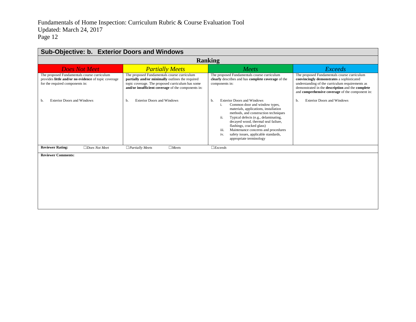| <b>Sub-Objective: b. Exterior Doors and Windows</b>                                                                                    |                                                                                                                                                                                                           |                                                                                                                                                                                                                                                                                                                                                                                                             |                                                                                                                                                                                                                                                    |
|----------------------------------------------------------------------------------------------------------------------------------------|-----------------------------------------------------------------------------------------------------------------------------------------------------------------------------------------------------------|-------------------------------------------------------------------------------------------------------------------------------------------------------------------------------------------------------------------------------------------------------------------------------------------------------------------------------------------------------------------------------------------------------------|----------------------------------------------------------------------------------------------------------------------------------------------------------------------------------------------------------------------------------------------------|
|                                                                                                                                        |                                                                                                                                                                                                           | <b>Ranking</b>                                                                                                                                                                                                                                                                                                                                                                                              |                                                                                                                                                                                                                                                    |
| <b>Does Not Meet</b>                                                                                                                   | <b>Partially Meets</b>                                                                                                                                                                                    | Meets                                                                                                                                                                                                                                                                                                                                                                                                       | <i>Exceeds</i>                                                                                                                                                                                                                                     |
| The proposed Fundamentals course curriculum<br>provides little and/or no evidence of topic coverage<br>for the required components in: | The proposed Fundamentals course curriculum<br>partially and/or minimally outlines the required<br>topic coverage. The proposed curriculum has some<br>and/or insufficient coverage of the components in: | The proposed Fundamentals course curriculum<br>clearly describes and has complete coverage of the<br>components in:                                                                                                                                                                                                                                                                                         | The proposed Fundamentals course curriculum<br>convincingly demonstrates a sophisticated<br>understanding of the curriculum requirements as<br>demonstrated in the description and the complete<br>and comprehensive coverage of the component in: |
| <b>Exterior Doors and Windows</b><br>b.                                                                                                | <b>Exterior Doors and Windows</b><br>b.                                                                                                                                                                   | <b>Exterior Doors and Windows</b><br>b.<br>Common door and window types,<br>i.<br>materials, applications, installation<br>methods, and construction techniques<br>ii.<br>Typical defects (e.g., delaminating,<br>decayed wood, thermal seal failure,<br>flashings, cracked glass)<br>Maintenance concerns and procedures<br>iii.<br>safety issues, applicable standards,<br>iv.<br>appropriate terminology | <b>Exterior Doors and Windows</b><br>b.                                                                                                                                                                                                            |
| <b>Reviewer Rating:</b><br>$\Box$ Does Not Meet                                                                                        | $\Box$ Partially Meets<br>$\Box$ Meets                                                                                                                                                                    | $\Box$ <i>Exceeds</i>                                                                                                                                                                                                                                                                                                                                                                                       |                                                                                                                                                                                                                                                    |
| <b>Reviewer Comments:</b>                                                                                                              |                                                                                                                                                                                                           |                                                                                                                                                                                                                                                                                                                                                                                                             |                                                                                                                                                                                                                                                    |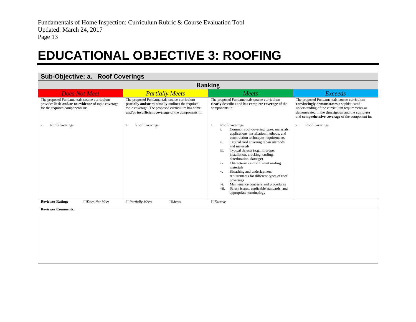#### **EDUCATIONAL OBJECTIVE 3: ROOFING**

<span id="page-14-0"></span>

| Sub-Objective: a. Roof Coverings                                                                                                       |                                                                                                                                                                                                           |                                                                                                                                                                                                                                                                                                                                                                                                                                                                                                                                                                                                                        |                                                                                                                                                                                                                                                    |
|----------------------------------------------------------------------------------------------------------------------------------------|-----------------------------------------------------------------------------------------------------------------------------------------------------------------------------------------------------------|------------------------------------------------------------------------------------------------------------------------------------------------------------------------------------------------------------------------------------------------------------------------------------------------------------------------------------------------------------------------------------------------------------------------------------------------------------------------------------------------------------------------------------------------------------------------------------------------------------------------|----------------------------------------------------------------------------------------------------------------------------------------------------------------------------------------------------------------------------------------------------|
| <b>Ranking</b>                                                                                                                         |                                                                                                                                                                                                           |                                                                                                                                                                                                                                                                                                                                                                                                                                                                                                                                                                                                                        |                                                                                                                                                                                                                                                    |
| <b>Does Not Meet</b>                                                                                                                   | <b>Partially Meets</b>                                                                                                                                                                                    | Meets                                                                                                                                                                                                                                                                                                                                                                                                                                                                                                                                                                                                                  | <b>Exceeds</b>                                                                                                                                                                                                                                     |
| The proposed Fundamentals course curriculum<br>provides little and/or no evidence of topic coverage<br>for the required components in: | The proposed Fundamentals course curriculum<br>partially and/or minimally outlines the required<br>topic coverage. The proposed curriculum has some<br>and/or insufficient coverage of the components in: | The proposed Fundamentals course curriculum<br>clearly describes and has complete coverage of the<br>components in:                                                                                                                                                                                                                                                                                                                                                                                                                                                                                                    | The proposed Fundamentals course curriculum<br>convincingly demonstrates a sophisticated<br>understanding of the curriculum requirements as<br>demonstrated in the description and the complete<br>and comprehensive coverage of the component in: |
| Roof Coverings<br>a.                                                                                                                   | Roof Coverings<br>a.                                                                                                                                                                                      | Roof Coverings<br>a.<br>Common roof-covering types, materials,<br>i.<br>applications, installation methods, and<br>construction techniques requirements<br>Typical roof covering repair methods<br>ii.<br>and materials<br>Typical defects (e.g., improper<br>iii.<br>installation, cracking, curling,<br>deterioration, damage)<br>Characteristics of different roofing<br>iv.<br>materials<br>Sheathing and underlayment<br>V.<br>requirements for different types of roof<br>coverings<br>Maintenance concerns and procedures<br>vi.<br>Safety issues, applicable standards, and<br>vii.<br>appropriate terminology | Roof Coverings<br>a.                                                                                                                                                                                                                               |
| <b>Reviewer Rating:</b><br>$\Box$ Does Not Meet                                                                                        | $\Box$ Partially Meets<br>$\Box$ Meets                                                                                                                                                                    | $\Box$ <i>Exceeds</i>                                                                                                                                                                                                                                                                                                                                                                                                                                                                                                                                                                                                  |                                                                                                                                                                                                                                                    |
| <b>Reviewer Comments:</b>                                                                                                              |                                                                                                                                                                                                           |                                                                                                                                                                                                                                                                                                                                                                                                                                                                                                                                                                                                                        |                                                                                                                                                                                                                                                    |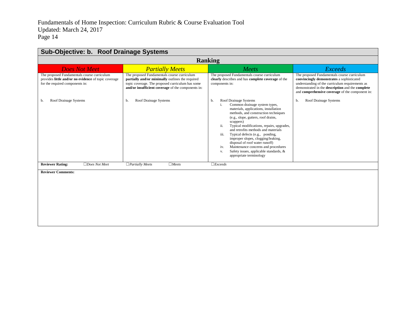| Sub-Objective: b. Roof Drainage Systems                                                                                                |                                                                                                                                                                                                           |                                                                                                                                                                                                                                                                                                                                                                                                                                                                                                                                                |                                                                                                                                                                                                                                                    |
|----------------------------------------------------------------------------------------------------------------------------------------|-----------------------------------------------------------------------------------------------------------------------------------------------------------------------------------------------------------|------------------------------------------------------------------------------------------------------------------------------------------------------------------------------------------------------------------------------------------------------------------------------------------------------------------------------------------------------------------------------------------------------------------------------------------------------------------------------------------------------------------------------------------------|----------------------------------------------------------------------------------------------------------------------------------------------------------------------------------------------------------------------------------------------------|
| <b>Ranking</b>                                                                                                                         |                                                                                                                                                                                                           |                                                                                                                                                                                                                                                                                                                                                                                                                                                                                                                                                |                                                                                                                                                                                                                                                    |
| <b>Does Not Meet</b>                                                                                                                   | <b>Partially Meets</b>                                                                                                                                                                                    | Meets                                                                                                                                                                                                                                                                                                                                                                                                                                                                                                                                          | <b>Exceeds</b>                                                                                                                                                                                                                                     |
| The proposed Fundamentals course curriculum<br>provides little and/or no evidence of topic coverage<br>for the required components in: | The proposed Fundamentals course curriculum<br>partially and/or minimally outlines the required<br>topic coverage. The proposed curriculum has some<br>and/or insufficient coverage of the components in: | The proposed Fundamentals course curriculum<br>clearly describes and has complete coverage of the<br>components in:                                                                                                                                                                                                                                                                                                                                                                                                                            | The proposed Fundamentals course curriculum<br>convincingly demonstrates a sophisticated<br>understanding of the curriculum requirements as<br>demonstrated in the description and the complete<br>and comprehensive coverage of the component in: |
| <b>Roof Drainage Systems</b><br>b.                                                                                                     | Roof Drainage Systems<br>b.                                                                                                                                                                               | Roof Drainage Systems<br>b.<br>Common drainage system types,<br>i.<br>materials, applications, installation<br>methods, and construction techniques<br>(e.g., slope, gutters, roof drains,<br>scuppers)<br>Typical modifications, repairs, upgrades,<br>ii.<br>and retrofits methods and materials<br>Typical defects (e.g., ponding,<br>iii.<br>improper slopes, clogging/leaking,<br>disposal of roof water runoff)<br>Maintenance concerns and procedures<br>iv.<br>Safety issues, applicable standards, &<br>V.<br>appropriate terminology | Roof Drainage Systems<br>b.                                                                                                                                                                                                                        |
| <b>Reviewer Rating:</b><br>$\Box$ Does Not Meet                                                                                        | $\Box$ Meets<br>$\Box$ Partially Meets                                                                                                                                                                    | $\Box$ <i>Exceeds</i>                                                                                                                                                                                                                                                                                                                                                                                                                                                                                                                          |                                                                                                                                                                                                                                                    |
| <b>Reviewer Comments:</b>                                                                                                              |                                                                                                                                                                                                           |                                                                                                                                                                                                                                                                                                                                                                                                                                                                                                                                                |                                                                                                                                                                                                                                                    |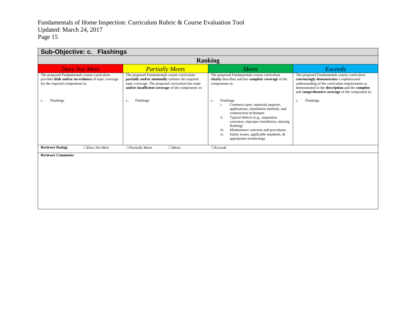| Sub-Objective: c. Flashings                                                                                                            |                                                                                                                                                                                                           |                                                                                                                                                                                                                                                                                                                                                             |                                                                                                                                                                                                                                                    |  |  |
|----------------------------------------------------------------------------------------------------------------------------------------|-----------------------------------------------------------------------------------------------------------------------------------------------------------------------------------------------------------|-------------------------------------------------------------------------------------------------------------------------------------------------------------------------------------------------------------------------------------------------------------------------------------------------------------------------------------------------------------|----------------------------------------------------------------------------------------------------------------------------------------------------------------------------------------------------------------------------------------------------|--|--|
| <b>Ranking</b>                                                                                                                         |                                                                                                                                                                                                           |                                                                                                                                                                                                                                                                                                                                                             |                                                                                                                                                                                                                                                    |  |  |
| <b>Does Not Meet</b>                                                                                                                   | Meets<br><b>Partially Meets</b><br><b>Exceeds</b>                                                                                                                                                         |                                                                                                                                                                                                                                                                                                                                                             |                                                                                                                                                                                                                                                    |  |  |
| The proposed Fundamentals course curriculum<br>provides little and/or no evidence of topic coverage<br>for the required components in: | The proposed Fundamentals course curriculum<br>partially and/or minimally outlines the required<br>topic coverage. The proposed curriculum has some<br>and/or insufficient coverage of the components in: | The proposed Fundamentals course curriculum<br>clearly describes and has complete coverage of the<br>components in:                                                                                                                                                                                                                                         | The proposed Fundamentals course curriculum<br>convincingly demonstrates a sophisticated<br>understanding of the curriculum requirements as<br>demonstrated in the description and the complete<br>and comprehensive coverage of the component in: |  |  |
| Flashings<br>c.                                                                                                                        | Flashings<br>c.                                                                                                                                                                                           | Flashings<br>c.<br>Common types, materials purpose,<br>applications, installation methods, and<br>construction techniques<br>ii.<br>Typical defects (e.g., separation,<br>corrosion, improper installation, missing<br>flashing)<br>iii.<br>Maintenance concerns and procedures<br>Safety issues, applicable standards, &<br>iv.<br>appropriate terminology | Flashings<br>$\mathbf{c}.$                                                                                                                                                                                                                         |  |  |
| <b>Reviewer Rating:</b><br>$\Box$ Does Not Meet                                                                                        | $\Box$ Meets<br>$\Box$ Partially Meets                                                                                                                                                                    | $\Box$ <i>Exceeds</i>                                                                                                                                                                                                                                                                                                                                       |                                                                                                                                                                                                                                                    |  |  |
| <b>Reviewer Comments:</b>                                                                                                              |                                                                                                                                                                                                           |                                                                                                                                                                                                                                                                                                                                                             |                                                                                                                                                                                                                                                    |  |  |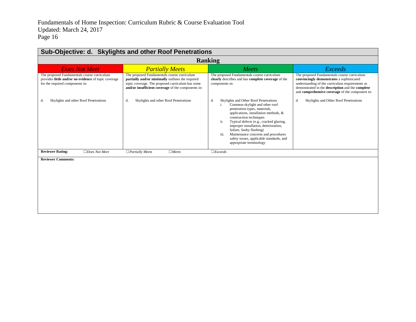| Sub-Objective: d. Skylights and other Roof Penetrations                                                                                |                                                                                                                                                                                                           |                                                                                                                                                                                                                                                                                                                                                                                                                                  |                                                                                                                                                                                                                                                    |  |
|----------------------------------------------------------------------------------------------------------------------------------------|-----------------------------------------------------------------------------------------------------------------------------------------------------------------------------------------------------------|----------------------------------------------------------------------------------------------------------------------------------------------------------------------------------------------------------------------------------------------------------------------------------------------------------------------------------------------------------------------------------------------------------------------------------|----------------------------------------------------------------------------------------------------------------------------------------------------------------------------------------------------------------------------------------------------|--|
|                                                                                                                                        | <b>Ranking</b>                                                                                                                                                                                            |                                                                                                                                                                                                                                                                                                                                                                                                                                  |                                                                                                                                                                                                                                                    |  |
| <b>Does Not Meet</b>                                                                                                                   | <b>Partially Meets</b>                                                                                                                                                                                    | Meets                                                                                                                                                                                                                                                                                                                                                                                                                            | <b>Exceeds</b>                                                                                                                                                                                                                                     |  |
| The proposed Fundamentals course curriculum<br>provides little and/or no evidence of topic coverage<br>for the required components in: | The proposed Fundamentals course curriculum<br>partially and/or minimally outlines the required<br>topic coverage. The proposed curriculum has some<br>and/or insufficient coverage of the components in: | The proposed Fundamentals course curriculum<br>clearly describes and has complete coverage of the<br>components in:                                                                                                                                                                                                                                                                                                              | The proposed Fundamentals course curriculum<br>convincingly demonstrates a sophisticated<br>understanding of the curriculum requirements as<br>demonstrated in the description and the complete<br>and comprehensive coverage of the component in: |  |
| Skylights and other Roof Penetrations<br>d.                                                                                            | Skylights and other Roof Penetrations<br>d.                                                                                                                                                               | Skylights and Other Roof Penetrations<br>d.<br>Common skylight and other roof<br>penetration types, materials,<br>applications, installation methods, &<br>construction techniques<br>ii.<br>Typical defects (e.g., cracked glazing,<br>improper installation, deterioration,<br>failure, faulty flashing)<br>iii.<br>Maintenance concerns and procedures<br>safety issues, applicable standards, and<br>appropriate terminology | Skylights and Other Roof Penetrations<br>d.                                                                                                                                                                                                        |  |
| <b>Reviewer Rating:</b><br>$\Box$ Does Not Meet                                                                                        | $\Box$ Meets<br>$\Box$ Partially Meets                                                                                                                                                                    | $\Box$ <i>Exceeds</i>                                                                                                                                                                                                                                                                                                                                                                                                            |                                                                                                                                                                                                                                                    |  |
| <b>Reviewer Comments:</b>                                                                                                              |                                                                                                                                                                                                           |                                                                                                                                                                                                                                                                                                                                                                                                                                  |                                                                                                                                                                                                                                                    |  |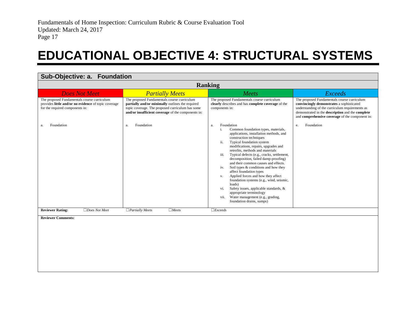### **EDUCATIONAL OBJECTIVE 4: STRUCTURAL SYSTEMS**

<span id="page-18-0"></span>

| Sub-Objective: a. Foundation                                                                                                           |                                                                                                                                                                                                           |                                                                                                                                                                                                                                                                                                                                                                                                                                                                                                                                                                                                                                                                                                                            |                                                                                                                                                                                                                                                    |  |
|----------------------------------------------------------------------------------------------------------------------------------------|-----------------------------------------------------------------------------------------------------------------------------------------------------------------------------------------------------------|----------------------------------------------------------------------------------------------------------------------------------------------------------------------------------------------------------------------------------------------------------------------------------------------------------------------------------------------------------------------------------------------------------------------------------------------------------------------------------------------------------------------------------------------------------------------------------------------------------------------------------------------------------------------------------------------------------------------------|----------------------------------------------------------------------------------------------------------------------------------------------------------------------------------------------------------------------------------------------------|--|
|                                                                                                                                        | <b>Ranking</b>                                                                                                                                                                                            |                                                                                                                                                                                                                                                                                                                                                                                                                                                                                                                                                                                                                                                                                                                            |                                                                                                                                                                                                                                                    |  |
| <b>Does Not Meet</b>                                                                                                                   | <b>Partially Meets</b>                                                                                                                                                                                    | Meets                                                                                                                                                                                                                                                                                                                                                                                                                                                                                                                                                                                                                                                                                                                      | <b>Exceeds</b>                                                                                                                                                                                                                                     |  |
| The proposed Fundamentals course curriculum<br>provides little and/or no evidence of topic coverage<br>for the required components in: | The proposed Fundamentals course curriculum<br>partially and/or minimally outlines the required<br>topic coverage. The proposed curriculum has some<br>and/or insufficient coverage of the components in: | The proposed Fundamentals course curriculum<br>clearly describes and has complete coverage of the<br>components in:                                                                                                                                                                                                                                                                                                                                                                                                                                                                                                                                                                                                        | The proposed Fundamentals course curriculum<br>convincingly demonstrates a sophisticated<br>understanding of the curriculum requirements as<br>demonstrated in the description and the complete<br>and comprehensive coverage of the component in: |  |
| Foundation<br>a.                                                                                                                       | Foundation<br>a.                                                                                                                                                                                          | Foundation<br>a.<br>i.<br>Common foundation types, materials,<br>applications, installation methods, and<br>construction techniques<br>Typical foundation system<br>ii.<br>modifications, repairs, upgrades and<br>retrofits, methods and materials<br>Typical defects (e.g., cracks, settlement,<br>iii.<br>decomposition, failed damp-proofing)<br>and their common causes and effects.<br>Soil types & conditions and how they<br>iv.<br>affect foundation types<br>Applied forces and how they affect<br>V.<br>foundation systems (e.g., wind, seismic,<br>loads)<br>Safety issues, applicable standards, &<br>vi.<br>appropriate terminology<br>Water management (e.g., grading,<br>vii.<br>foundation drains, sumps) | Foundation<br>e.                                                                                                                                                                                                                                   |  |
| <b>Reviewer Rating:</b><br>$\Box$ Does Not Meet                                                                                        | $\Box$ Meets<br>$\Box$ Partially Meets                                                                                                                                                                    | $\Box$ <i>Exceeds</i>                                                                                                                                                                                                                                                                                                                                                                                                                                                                                                                                                                                                                                                                                                      |                                                                                                                                                                                                                                                    |  |
| <b>Reviewer Comments:</b>                                                                                                              |                                                                                                                                                                                                           |                                                                                                                                                                                                                                                                                                                                                                                                                                                                                                                                                                                                                                                                                                                            |                                                                                                                                                                                                                                                    |  |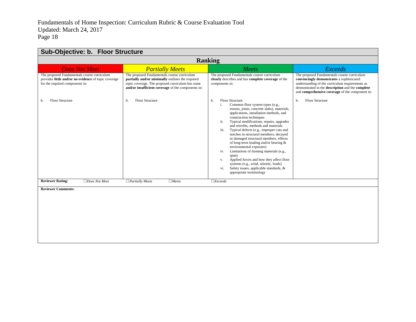| Sub-Objective: b. Floor Structure                                                                                                      |                                                                                                                                                                                                           |                                                                                                                                                                                                                                                                                                                                                                                                                                                                                                                                                                                                                                                                                                                                  |                                                                                                                                                                                                                                                    |  |
|----------------------------------------------------------------------------------------------------------------------------------------|-----------------------------------------------------------------------------------------------------------------------------------------------------------------------------------------------------------|----------------------------------------------------------------------------------------------------------------------------------------------------------------------------------------------------------------------------------------------------------------------------------------------------------------------------------------------------------------------------------------------------------------------------------------------------------------------------------------------------------------------------------------------------------------------------------------------------------------------------------------------------------------------------------------------------------------------------------|----------------------------------------------------------------------------------------------------------------------------------------------------------------------------------------------------------------------------------------------------|--|
| <b>Ranking</b>                                                                                                                         |                                                                                                                                                                                                           |                                                                                                                                                                                                                                                                                                                                                                                                                                                                                                                                                                                                                                                                                                                                  |                                                                                                                                                                                                                                                    |  |
| <b>Does Not Meet</b>                                                                                                                   | <b>Partially Meets</b>                                                                                                                                                                                    | Meets                                                                                                                                                                                                                                                                                                                                                                                                                                                                                                                                                                                                                                                                                                                            | <b>Exceeds</b>                                                                                                                                                                                                                                     |  |
| The proposed Fundamentals course curriculum<br>provides little and/or no evidence of topic coverage<br>for the required components in: | The proposed Fundamentals course curriculum<br>partially and/or minimally outlines the required<br>topic coverage. The proposed curriculum has some<br>and/or insufficient coverage of the components in: | The proposed Fundamentals course curriculum<br>clearly describes and has complete coverage of the<br>components in:                                                                                                                                                                                                                                                                                                                                                                                                                                                                                                                                                                                                              | The proposed Fundamentals course curriculum<br>convincingly demonstrates a sophisticated<br>understanding of the curriculum requirements as<br>demonstrated in the description and the complete<br>and comprehensive coverage of the component in: |  |
| Floor Structure<br>b.                                                                                                                  | <b>Floor Structure</b><br>b.                                                                                                                                                                              | Floor Structure<br>b.<br>Common floor system types (e.g.,<br>i.<br>trusses, joists, concrete slabs), materials,<br>applications, installation methods, and<br>construction techniques<br>ii.<br>Typical modifications, repairs, upgrades<br>and retrofits, methods and materials<br>Typical defects (e.g., improper cuts and<br>iii.<br>notches in structural members, decayed<br>or damaged structural members, effects<br>of long-term loading and/or bearing $\&$<br>environmental exposure)<br>Limitations of framing materials (e.g.,<br>iv.<br>span)<br>Applied forces and how they affect floor<br>V.<br>systems (e.g., wind, seismic, loads)<br>Safety issues, applicable standards, &<br>vi.<br>appropriate terminology | <b>Floor Structure</b><br>b.                                                                                                                                                                                                                       |  |
| <b>Reviewer Rating:</b><br>$\Box$ Does Not Meet                                                                                        | $\Box$ Partially Meets<br>$\Box$ Meets                                                                                                                                                                    | $\Box$ <i>Exceeds</i>                                                                                                                                                                                                                                                                                                                                                                                                                                                                                                                                                                                                                                                                                                            |                                                                                                                                                                                                                                                    |  |
| <b>Reviewer Comments:</b>                                                                                                              |                                                                                                                                                                                                           |                                                                                                                                                                                                                                                                                                                                                                                                                                                                                                                                                                                                                                                                                                                                  |                                                                                                                                                                                                                                                    |  |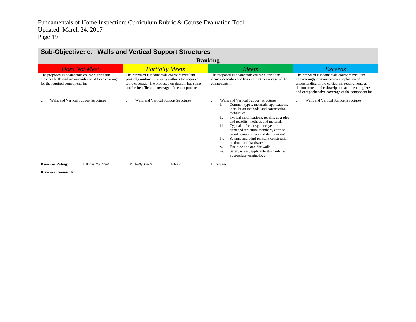| Sub-Objective: c. Walls and Vertical Support Structures                                                                                |                                                                                                                                                                                                           |                                                                                                                                                                                                                                                                                                                                                                                                                                                                                                                                                                          |                                                                                                                                                                                                                                                    |  |
|----------------------------------------------------------------------------------------------------------------------------------------|-----------------------------------------------------------------------------------------------------------------------------------------------------------------------------------------------------------|--------------------------------------------------------------------------------------------------------------------------------------------------------------------------------------------------------------------------------------------------------------------------------------------------------------------------------------------------------------------------------------------------------------------------------------------------------------------------------------------------------------------------------------------------------------------------|----------------------------------------------------------------------------------------------------------------------------------------------------------------------------------------------------------------------------------------------------|--|
| <b>Ranking</b>                                                                                                                         |                                                                                                                                                                                                           |                                                                                                                                                                                                                                                                                                                                                                                                                                                                                                                                                                          |                                                                                                                                                                                                                                                    |  |
| <b>Does Not Meet</b>                                                                                                                   | <b>Partially Meets</b>                                                                                                                                                                                    | Meets                                                                                                                                                                                                                                                                                                                                                                                                                                                                                                                                                                    | Exceeds                                                                                                                                                                                                                                            |  |
| The proposed Fundamentals course curriculum<br>provides little and/or no evidence of topic coverage<br>for the required components in: | The proposed Fundamentals course curriculum<br>partially and/or minimally outlines the required<br>topic coverage. The proposed curriculum has some<br>and/or insufficient coverage of the components in: | The proposed Fundamentals course curriculum<br>clearly describes and has complete coverage of the<br>components in:                                                                                                                                                                                                                                                                                                                                                                                                                                                      | The proposed Fundamentals course curriculum<br>convincingly demonstrates a sophisticated<br>understanding of the curriculum requirements as<br>demonstrated in the description and the complete<br>and comprehensive coverage of the component in: |  |
| Walls and Vertical Support Structures<br>c.                                                                                            | Walls and Vertical Support Structures<br>c.                                                                                                                                                               | Walls and Vertical Support Structures<br>c.<br>Common types, materials, applications,<br>i.<br>installation methods, and construction<br>techniques<br>ii.<br>Typical modifications, repairs, upgrades<br>and retrofits, methods and materials<br>Typical defects (e.g., decayed or<br>iii.<br>damaged structural members, earth to<br>wood contact, structural deformation)<br>Seismic and wind-resistant construction<br>iv.<br>methods and hardware<br>Fire blocking and fire walls<br>V.<br>Safety issues, applicable standards, &<br>vi.<br>appropriate terminology | Walls and Vertical Support Structures<br>c.                                                                                                                                                                                                        |  |
| <b>Reviewer Rating:</b><br>$\Box$ Does Not Meet                                                                                        | $\Box$ Partially Meets<br>$\Box$ Meets                                                                                                                                                                    | $\Box$ <i>Exceeds</i>                                                                                                                                                                                                                                                                                                                                                                                                                                                                                                                                                    |                                                                                                                                                                                                                                                    |  |
| <b>Reviewer Comments:</b>                                                                                                              |                                                                                                                                                                                                           |                                                                                                                                                                                                                                                                                                                                                                                                                                                                                                                                                                          |                                                                                                                                                                                                                                                    |  |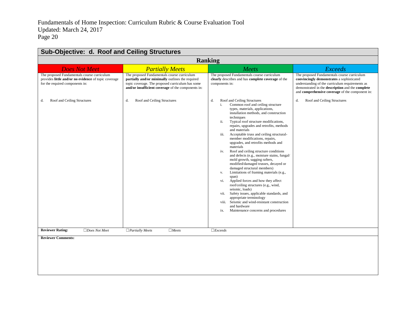| Sub-Objective: d. Roof and Ceiling Structures                                                                                          |                                                                                                                                                                                                           |                                                                                                                                                                                                                                                                                                                                                                                                                                                                                                                                                                                                                                                                                                                                                                                                                                                                                                                                                                                                          |                                                                                                                                                                                                                                                    |  |
|----------------------------------------------------------------------------------------------------------------------------------------|-----------------------------------------------------------------------------------------------------------------------------------------------------------------------------------------------------------|----------------------------------------------------------------------------------------------------------------------------------------------------------------------------------------------------------------------------------------------------------------------------------------------------------------------------------------------------------------------------------------------------------------------------------------------------------------------------------------------------------------------------------------------------------------------------------------------------------------------------------------------------------------------------------------------------------------------------------------------------------------------------------------------------------------------------------------------------------------------------------------------------------------------------------------------------------------------------------------------------------|----------------------------------------------------------------------------------------------------------------------------------------------------------------------------------------------------------------------------------------------------|--|
| <b>Ranking</b>                                                                                                                         |                                                                                                                                                                                                           |                                                                                                                                                                                                                                                                                                                                                                                                                                                                                                                                                                                                                                                                                                                                                                                                                                                                                                                                                                                                          |                                                                                                                                                                                                                                                    |  |
| <b>Does Not Meet</b>                                                                                                                   | <b>Partially Meets</b>                                                                                                                                                                                    | Meets                                                                                                                                                                                                                                                                                                                                                                                                                                                                                                                                                                                                                                                                                                                                                                                                                                                                                                                                                                                                    | <b>Exceeds</b>                                                                                                                                                                                                                                     |  |
| The proposed Fundamentals course curriculum<br>provides little and/or no evidence of topic coverage<br>for the required components in: | The proposed Fundamentals course curriculum<br>partially and/or minimally outlines the required<br>topic coverage. The proposed curriculum has some<br>and/or insufficient coverage of the components in: | The proposed Fundamentals course curriculum<br>clearly describes and has complete coverage of the<br>components in:                                                                                                                                                                                                                                                                                                                                                                                                                                                                                                                                                                                                                                                                                                                                                                                                                                                                                      | The proposed Fundamentals course curriculum<br>convincingly demonstrates a sophisticated<br>understanding of the curriculum requirements as<br>demonstrated in the description and the complete<br>and comprehensive coverage of the component in: |  |
| Roof and Ceiling Structures<br>d.                                                                                                      | Roof and Ceiling Structures<br>d.                                                                                                                                                                         | Roof and Ceiling Structures<br>d.<br>Common roof and ceiling structure<br>i.<br>types, materials, applications,<br>installation methods, and construction<br>techniques<br>Typical roof structure modifications,<br>ii.<br>repairs, upgrades and retrofits, methods<br>and materials<br>Acceptable truss and ceiling structural-<br>iii.<br>member modifications, repairs,<br>upgrades, and retrofits methods and<br>materials<br>Roof and ceiling structure conditions<br>iv.<br>and defects (e.g., moisture stains, fungal/<br>mold growth, sagging rafters,<br>modified/damaged trusses, decayed or<br>damaged structural members)<br>Limitations of framing materials (e.g.,<br>V.<br>span)<br>Applied forces and how they affect<br>vi.<br>roof/ceiling structures (e.g., wind,<br>seismic, loads)<br>Safety issues, applicable standards, and<br>vii.<br>appropriate terminology<br>Seismic and wind-resistant construction<br>viii.<br>and hardware<br>Maintenance concerns and procedures<br>ix. | Roof and Ceiling Structures<br>d.                                                                                                                                                                                                                  |  |
| <b>Reviewer Rating:</b><br>$\Box$ Does Not Meet                                                                                        | $\Box$ Meets<br>$\Box$ Partially Meets                                                                                                                                                                    | $\Box$ <i>Exceeds</i>                                                                                                                                                                                                                                                                                                                                                                                                                                                                                                                                                                                                                                                                                                                                                                                                                                                                                                                                                                                    |                                                                                                                                                                                                                                                    |  |
| <b>Reviewer Comments:</b>                                                                                                              |                                                                                                                                                                                                           |                                                                                                                                                                                                                                                                                                                                                                                                                                                                                                                                                                                                                                                                                                                                                                                                                                                                                                                                                                                                          |                                                                                                                                                                                                                                                    |  |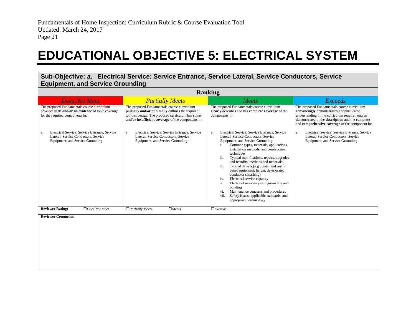### **EDUCATIONAL OBJECTIVE 5: ELECTRICAL SYSTEM**

**Sub-Objective: a. Electrical Service: Service Entrance, Service Lateral, Service Conductors, Service Equipment, and Service Grounding**

<span id="page-22-0"></span>

| <b>Ranking</b>                                                                                                                         |                                                                                                                                                                                                           |                                                                                                                                                                                                                                                                                                                                                                                                                                                                                                                                                                                                                                                                                        |                                                                                                                                                                                                                                                    |
|----------------------------------------------------------------------------------------------------------------------------------------|-----------------------------------------------------------------------------------------------------------------------------------------------------------------------------------------------------------|----------------------------------------------------------------------------------------------------------------------------------------------------------------------------------------------------------------------------------------------------------------------------------------------------------------------------------------------------------------------------------------------------------------------------------------------------------------------------------------------------------------------------------------------------------------------------------------------------------------------------------------------------------------------------------------|----------------------------------------------------------------------------------------------------------------------------------------------------------------------------------------------------------------------------------------------------|
| <b>Does Not Meet</b>                                                                                                                   | <b>Partially Meets</b>                                                                                                                                                                                    | Meets                                                                                                                                                                                                                                                                                                                                                                                                                                                                                                                                                                                                                                                                                  | <b>Exceeds</b>                                                                                                                                                                                                                                     |
| The proposed Fundamentals course curriculum<br>provides little and/or no evidence of topic coverage<br>for the required components in: | The proposed Fundamentals course curriculum<br>partially and/or minimally outlines the required<br>topic coverage. The proposed curriculum has some<br>and/or insufficient coverage of the components in: | The proposed Fundamentals course curriculum<br>clearly describes and has complete coverage of the<br>components in:                                                                                                                                                                                                                                                                                                                                                                                                                                                                                                                                                                    | The proposed Fundamentals course curriculum<br>convincingly demonstrates a sophisticated<br>understanding of the curriculum requirements as<br>demonstrated in the description and the complete<br>and comprehensive coverage of the component in: |
| Electrical Service: Service Entrance, Service<br>a.<br>Lateral, Service Conductors, Service<br>Equipment, and Service Grounding        | Electrical Service: Service Entrance, Service<br>a.<br>Lateral, Service Conductors, Service<br>Equipment, and Service Grounding                                                                           | Electrical Service: Service Entrance, Service<br>a.<br>Lateral, Service Conductors, Service<br>Equipment, and Service Grounding<br>Common types, materials, applications,<br>i.<br>installation methods, and construction<br>techniques<br>ii.<br>Typical modifications, repairs, upgrades<br>and retrofits, methods and materials<br>Typical defects (e.g., water and rust in<br>iii.<br>panel equipment, height, deteriorated<br>conductor sheathing)<br>Electrical service capacity<br>iv.<br>Electrical service/system grounding and<br>V.<br>bonding<br>Maintenance concerns and procedures<br>vi.<br>Safety issues, applicable standards, and<br>vii.<br>appropriate terminology | Electrical Service: Service Entrance, Service<br>a.<br>Lateral, Service Conductors, Service<br>Equipment, and Service Grounding                                                                                                                    |
| <b>Reviewer Rating:</b><br>$\Box$ Does Not Meet                                                                                        | $\Box$ Meets<br>$\Box$ Partially Meets                                                                                                                                                                    | $\Box$ <i>Exceeds</i>                                                                                                                                                                                                                                                                                                                                                                                                                                                                                                                                                                                                                                                                  |                                                                                                                                                                                                                                                    |
| <b>Reviewer Comments:</b>                                                                                                              |                                                                                                                                                                                                           |                                                                                                                                                                                                                                                                                                                                                                                                                                                                                                                                                                                                                                                                                        |                                                                                                                                                                                                                                                    |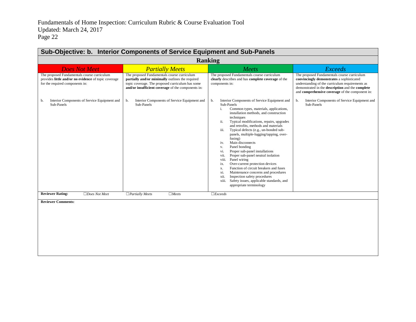| <b>Ranking</b>                                                                                                                         |                                                                                                                                                                                                           |                                                                                                                                                                                                                                                                                                                                                                                                                                                                                                                                                                                                                                                                                                                                                                                                              |                                                                                                                                                                                                                                                    |
|----------------------------------------------------------------------------------------------------------------------------------------|-----------------------------------------------------------------------------------------------------------------------------------------------------------------------------------------------------------|--------------------------------------------------------------------------------------------------------------------------------------------------------------------------------------------------------------------------------------------------------------------------------------------------------------------------------------------------------------------------------------------------------------------------------------------------------------------------------------------------------------------------------------------------------------------------------------------------------------------------------------------------------------------------------------------------------------------------------------------------------------------------------------------------------------|----------------------------------------------------------------------------------------------------------------------------------------------------------------------------------------------------------------------------------------------------|
| <b>Does Not Meet</b>                                                                                                                   | <b>Partially Meets</b>                                                                                                                                                                                    | Meets                                                                                                                                                                                                                                                                                                                                                                                                                                                                                                                                                                                                                                                                                                                                                                                                        | <b>Exceeds</b>                                                                                                                                                                                                                                     |
| The proposed Fundamentals course curriculum<br>provides little and/or no evidence of topic coverage<br>for the required components in: | The proposed Fundamentals course curriculum<br>partially and/or minimally outlines the required<br>topic coverage. The proposed curriculum has some<br>and/or insufficient coverage of the components in: | The proposed Fundamentals course curriculum<br>clearly describes and has complete coverage of the<br>components in:                                                                                                                                                                                                                                                                                                                                                                                                                                                                                                                                                                                                                                                                                          | The proposed Fundamentals course curriculum<br>convincingly demonstrates a sophisticated<br>understanding of the curriculum requirements as<br>demonstrated in the description and the complete<br>and comprehensive coverage of the component in: |
| Interior Components of Service Equipment and<br>b.<br>Sub-Panels                                                                       | Interior Components of Service Equipment and<br>b.<br>Sub-Panels                                                                                                                                          | b.<br>Interior Components of Service Equipment and<br>Sub-Panels<br>Common types, materials, applications,<br>i.<br>installation methods, and construction<br>techniques<br>ii.<br>Typical modifications, repairs, upgrades<br>and retrofits, methods and materials<br>Typical defects (e.g., un-bonded sub-<br>iii.<br>panels, multiple-lugging/tapping, over-<br>fusing)<br>Main disconnects<br>iv.<br>Panel bonding<br>V.<br>Proper sub-panel installations<br>vi.<br>Proper sub-panel neutral isolation<br>vii.<br>Panel wiring<br>viii.<br>Over-current protection devices<br>ix.<br>Function of circuit breakers and fuses<br>X.<br>Maintenance concerns and procedures<br>xi.<br>Inspection safety procedures<br>xii.<br>Safety issues, applicable standards, and<br>xiii.<br>appropriate terminology | Interior Components of Service Equipment and<br>b.<br>Sub-Panels                                                                                                                                                                                   |
| <b>Reviewer Rating:</b><br>$\Box$ Does Not Meet                                                                                        | $\Box$ Partially Meets<br>$\Box$ Meets                                                                                                                                                                    | $\Box$ <i>Exceeds</i>                                                                                                                                                                                                                                                                                                                                                                                                                                                                                                                                                                                                                                                                                                                                                                                        |                                                                                                                                                                                                                                                    |
| <b>Reviewer Comments:</b>                                                                                                              |                                                                                                                                                                                                           |                                                                                                                                                                                                                                                                                                                                                                                                                                                                                                                                                                                                                                                                                                                                                                                                              |                                                                                                                                                                                                                                                    |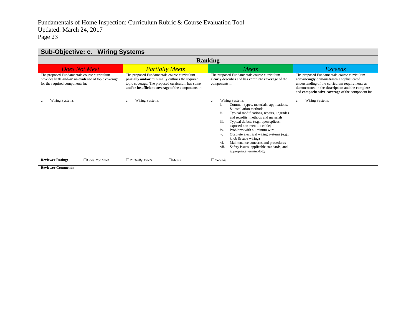| <b>Sub-Objective: c. Wiring Systems</b>                                                                                                |                                                                                                                                                                                                           |                                                                                                                                                                                                                                                                                                                                                                                                                                                                                                                       |                                                                                                                                                                                                                                                           |  |
|----------------------------------------------------------------------------------------------------------------------------------------|-----------------------------------------------------------------------------------------------------------------------------------------------------------------------------------------------------------|-----------------------------------------------------------------------------------------------------------------------------------------------------------------------------------------------------------------------------------------------------------------------------------------------------------------------------------------------------------------------------------------------------------------------------------------------------------------------------------------------------------------------|-----------------------------------------------------------------------------------------------------------------------------------------------------------------------------------------------------------------------------------------------------------|--|
| <b>Ranking</b>                                                                                                                         |                                                                                                                                                                                                           |                                                                                                                                                                                                                                                                                                                                                                                                                                                                                                                       |                                                                                                                                                                                                                                                           |  |
| <b>Does Not Meet</b>                                                                                                                   | <b>Partially Meets</b>                                                                                                                                                                                    | Meets                                                                                                                                                                                                                                                                                                                                                                                                                                                                                                                 | <i>Exceeds</i>                                                                                                                                                                                                                                            |  |
| The proposed Fundamentals course curriculum<br>provides little and/or no evidence of topic coverage<br>for the required components in: | The proposed Fundamentals course curriculum<br>partially and/or minimally outlines the required<br>topic coverage. The proposed curriculum has some<br>and/or insufficient coverage of the components in: | The proposed Fundamentals course curriculum<br>clearly describes and has complete coverage of the<br>components in:                                                                                                                                                                                                                                                                                                                                                                                                   | The proposed Fundamentals course curriculum<br>convincingly demonstrates a sophisticated<br>understanding of the curriculum requirements as<br>demonstrated in the description and the complete<br>and <b>comprehensive coverage</b> of the component in: |  |
| Wiring Systems<br>c.                                                                                                                   | Wiring Systems<br>c.                                                                                                                                                                                      | Wiring Systems<br>c.<br>Common types, materials, applications,<br>i.<br>& installation methods<br>ii.<br>Typical modifications, repairs, upgrades<br>and retrofits, methods and materials<br>Typical defects (e.g., open splices,<br>iii.<br>exposed non-metallic cable)<br>Problems with aluminum wire<br>iv.<br>Obsolete electrical wiring systems (e.g.,<br>V.<br>knob & tube wiring)<br>Maintenance concerns and procedures<br>vi.<br>Safety issues, applicable standards, and<br>vii.<br>appropriate terminology | Wiring Systems<br>c.                                                                                                                                                                                                                                      |  |
| <b>Reviewer Rating:</b><br>$\Box$ Does Not Meet                                                                                        | $\Box$ Partially Meets<br>$\Box$ Meets                                                                                                                                                                    | $\Box$ <i>Exceeds</i>                                                                                                                                                                                                                                                                                                                                                                                                                                                                                                 |                                                                                                                                                                                                                                                           |  |
| <b>Reviewer Comments:</b>                                                                                                              |                                                                                                                                                                                                           |                                                                                                                                                                                                                                                                                                                                                                                                                                                                                                                       |                                                                                                                                                                                                                                                           |  |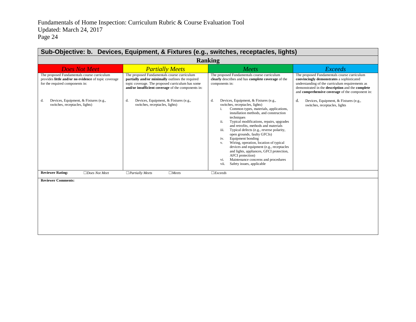| Sub-Objective: b. Devices, Equipment, & Fixtures (e.g., switches, receptacles, lights)                                                 |                                                                                                                                                                                                           |                                                                                                                                                                                                                                                                                                                                                                                                                                                                                                                                                                                                                                                |                                                                                                                                                                                                                                                    |  |
|----------------------------------------------------------------------------------------------------------------------------------------|-----------------------------------------------------------------------------------------------------------------------------------------------------------------------------------------------------------|------------------------------------------------------------------------------------------------------------------------------------------------------------------------------------------------------------------------------------------------------------------------------------------------------------------------------------------------------------------------------------------------------------------------------------------------------------------------------------------------------------------------------------------------------------------------------------------------------------------------------------------------|----------------------------------------------------------------------------------------------------------------------------------------------------------------------------------------------------------------------------------------------------|--|
| <b>Ranking</b>                                                                                                                         |                                                                                                                                                                                                           |                                                                                                                                                                                                                                                                                                                                                                                                                                                                                                                                                                                                                                                |                                                                                                                                                                                                                                                    |  |
| <b>Does Not Meet</b>                                                                                                                   | <b>Partially Meets</b>                                                                                                                                                                                    | Meets                                                                                                                                                                                                                                                                                                                                                                                                                                                                                                                                                                                                                                          | <b>Exceeds</b>                                                                                                                                                                                                                                     |  |
| The proposed Fundamentals course curriculum<br>provides little and/or no evidence of topic coverage<br>for the required components in: | The proposed Fundamentals course curriculum<br>partially and/or minimally outlines the required<br>topic coverage. The proposed curriculum has some<br>and/or insufficient coverage of the components in: | The proposed Fundamentals course curriculum<br>clearly describes and has complete coverage of the<br>components in:                                                                                                                                                                                                                                                                                                                                                                                                                                                                                                                            | The proposed Fundamentals course curriculum<br>convincingly demonstrates a sophisticated<br>understanding of the curriculum requirements as<br>demonstrated in the description and the complete<br>and comprehensive coverage of the component in: |  |
| Devices, Equipment, & Fixtures (e.g.,<br>d.<br>switches, receptacles, lights)                                                          | d.<br>Devices, Equipment, & Fixtures (e.g.,<br>switches, receptacles, lights)                                                                                                                             | Devices, Equipment, & Fixtures (e.g.,<br>d.<br>switches, receptacles, lights)<br>Common types, materials, applications,<br>i.<br>installation methods, and construction<br>techniques<br>ii.<br>Typical modifications, repairs, upgrades<br>and retrofits, methods and materials<br>Typical defects (e.g., reverse polarity,<br>iii.<br>open grounds, faulty GFCIs)<br>Equipment bonding<br>iv.<br>Wiring, operation, location of typical<br>V.<br>devices and equipment (e.g., receptacles<br>and lights, appliances, GFCI protection,<br>AFCI protection)<br>Maintenance concerns and procedures<br>vi.<br>vii.<br>Safety issues, applicable | d.<br>Devices, Equipment, & Fixtures (e.g.,<br>switches, receptacles, lights                                                                                                                                                                       |  |
| <b>Reviewer Rating:</b><br>$\Box$ Does Not Meet                                                                                        | $\Box$ Meets<br>$\Box$ Partially Meets                                                                                                                                                                    | $\Box$ <i>Exceeds</i>                                                                                                                                                                                                                                                                                                                                                                                                                                                                                                                                                                                                                          |                                                                                                                                                                                                                                                    |  |
| <b>Reviewer Comments:</b>                                                                                                              |                                                                                                                                                                                                           |                                                                                                                                                                                                                                                                                                                                                                                                                                                                                                                                                                                                                                                |                                                                                                                                                                                                                                                    |  |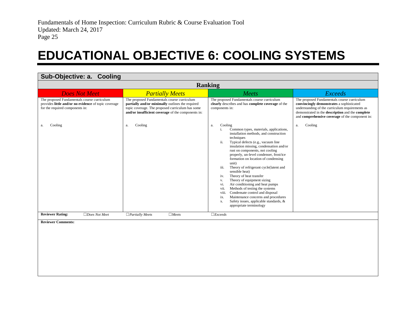### **EDUCATIONAL OBJECTIVE 6: COOLING SYSTEMS**

<span id="page-26-0"></span>

| Sub-Objective: a. Cooling                                                                                                              |                                                                                                                                                                                                           |                                                                                                                                                                                                                                                                                                                                                                                                                                                                                                                                                                                                                                                                                                                                                |                                                                                                                                                                                                                                                    |  |  |
|----------------------------------------------------------------------------------------------------------------------------------------|-----------------------------------------------------------------------------------------------------------------------------------------------------------------------------------------------------------|------------------------------------------------------------------------------------------------------------------------------------------------------------------------------------------------------------------------------------------------------------------------------------------------------------------------------------------------------------------------------------------------------------------------------------------------------------------------------------------------------------------------------------------------------------------------------------------------------------------------------------------------------------------------------------------------------------------------------------------------|----------------------------------------------------------------------------------------------------------------------------------------------------------------------------------------------------------------------------------------------------|--|--|
|                                                                                                                                        | <b>Ranking</b>                                                                                                                                                                                            |                                                                                                                                                                                                                                                                                                                                                                                                                                                                                                                                                                                                                                                                                                                                                |                                                                                                                                                                                                                                                    |  |  |
| <b>Does Not Meet</b>                                                                                                                   | <b>Partially Meets</b>                                                                                                                                                                                    | Meets                                                                                                                                                                                                                                                                                                                                                                                                                                                                                                                                                                                                                                                                                                                                          | <b>Exceeds</b>                                                                                                                                                                                                                                     |  |  |
| The proposed Fundamentals course curriculum<br>provides little and/or no evidence of topic coverage<br>for the required components in: | The proposed Fundamentals course curriculum<br>partially and/or minimally outlines the required<br>topic coverage. The proposed curriculum has some<br>and/or insufficient coverage of the components in: | The proposed Fundamentals course curriculum<br>clearly describes and has complete coverage of the<br>components in:                                                                                                                                                                                                                                                                                                                                                                                                                                                                                                                                                                                                                            | The proposed Fundamentals course curriculum<br>convincingly demonstrates a sophisticated<br>understanding of the curriculum requirements as<br>demonstrated in the description and the complete<br>and comprehensive coverage of the component in: |  |  |
| Cooling<br>a.                                                                                                                          | Cooling<br>a.                                                                                                                                                                                             | Cooling<br>a.<br>Common types, materials, applications,<br>i.<br>installation methods, and construction<br>techniques<br>Typical defects (e.g., vacuum line<br>ii.<br>insulation missing, condensation and/or<br>rust on components, not cooling<br>properly, un-level condenser, frost/ice<br>formation on location of condensing<br>unit)<br>Theory of refrigerant cycle(latent and<br>iii.<br>sensible heat)<br>Theory of heat transfer<br>iv.<br>Theory of equipment sizing<br>V.<br>Air conditioning and heat pumps<br>vi.<br>Methods of testing the systems<br>vii.<br>Condensate control and disposal<br>viii.<br>Maintenance concerns and procedures<br>ix.<br>Safety issues, applicable standards, &<br>х.<br>appropriate terminology | Cooling<br>a.                                                                                                                                                                                                                                      |  |  |
| <b>Reviewer Rating:</b><br>$\Box$ Does Not Meet                                                                                        | $\Box$ Partially Meets<br>$\Box$ Meets                                                                                                                                                                    | $\Box$ <i>Exceeds</i>                                                                                                                                                                                                                                                                                                                                                                                                                                                                                                                                                                                                                                                                                                                          |                                                                                                                                                                                                                                                    |  |  |
| <b>Reviewer Comments:</b>                                                                                                              |                                                                                                                                                                                                           |                                                                                                                                                                                                                                                                                                                                                                                                                                                                                                                                                                                                                                                                                                                                                |                                                                                                                                                                                                                                                    |  |  |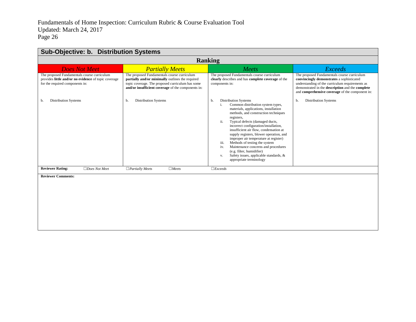| Sub-Objective: b. Distribution Systems                                                                                                 |                                                                                                                                                                                                           |                                                                                                                                                                                                                                                                                                                                                                                                                                                                                                                                                                                             |                                                                                                                                                                                                                                                    |  |
|----------------------------------------------------------------------------------------------------------------------------------------|-----------------------------------------------------------------------------------------------------------------------------------------------------------------------------------------------------------|---------------------------------------------------------------------------------------------------------------------------------------------------------------------------------------------------------------------------------------------------------------------------------------------------------------------------------------------------------------------------------------------------------------------------------------------------------------------------------------------------------------------------------------------------------------------------------------------|----------------------------------------------------------------------------------------------------------------------------------------------------------------------------------------------------------------------------------------------------|--|
| <b>Ranking</b>                                                                                                                         |                                                                                                                                                                                                           |                                                                                                                                                                                                                                                                                                                                                                                                                                                                                                                                                                                             |                                                                                                                                                                                                                                                    |  |
| <b>Does Not Meet</b>                                                                                                                   | <b>Partially Meets</b>                                                                                                                                                                                    | Meets                                                                                                                                                                                                                                                                                                                                                                                                                                                                                                                                                                                       | <b>Exceeds</b>                                                                                                                                                                                                                                     |  |
| The proposed Fundamentals course curriculum<br>provides little and/or no evidence of topic coverage<br>for the required components in: | The proposed Fundamentals course curriculum<br>partially and/or minimally outlines the required<br>topic coverage. The proposed curriculum has some<br>and/or insufficient coverage of the components in: | The proposed Fundamentals course curriculum<br>clearly describes and has complete coverage of the<br>components in:                                                                                                                                                                                                                                                                                                                                                                                                                                                                         | The proposed Fundamentals course curriculum<br>convincingly demonstrates a sophisticated<br>understanding of the curriculum requirements as<br>demonstrated in the description and the complete<br>and comprehensive coverage of the component in: |  |
| <b>Distribution Systems</b><br>b.                                                                                                      | <b>Distribution Systems</b><br>b.                                                                                                                                                                         | <b>Distribution Systems</b><br>b.<br>Common distribution system types,<br>i.<br>materials, applications, installation<br>methods, and construction techniques<br>registers.<br>ii.<br>Typical defects (damaged ducts,<br>incorrect configuration/installation,<br>insufficient air flow, condensation at<br>supply registers, blower operation, and<br>improper air temperature at register)<br>Methods of testing the system<br>iii.<br>Maintenance concerns and procedures<br>iv.<br>(e.g. filter, humidifier)<br>Safety issues, applicable standards, &<br>v.<br>appropriate terminology | <b>Distribution Systems</b><br>b.                                                                                                                                                                                                                  |  |
| <b>Reviewer Rating:</b><br>$\Box$ Does Not Meet                                                                                        | $\Box$ Partially Meets<br>$\Box$ Meets                                                                                                                                                                    | $\Box$ <i>Exceeds</i>                                                                                                                                                                                                                                                                                                                                                                                                                                                                                                                                                                       |                                                                                                                                                                                                                                                    |  |
| <b>Reviewer Comments:</b>                                                                                                              |                                                                                                                                                                                                           |                                                                                                                                                                                                                                                                                                                                                                                                                                                                                                                                                                                             |                                                                                                                                                                                                                                                    |  |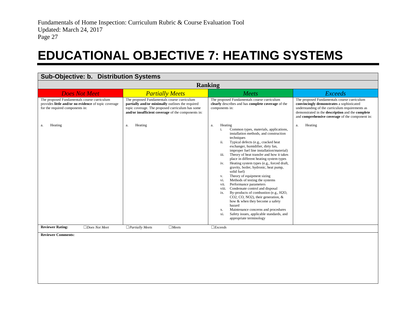### **EDUCATIONAL OBJECTIVE 7: HEATING SYSTEMS**

<span id="page-28-0"></span>

| Sub-Objective: b. Distribution Systems                                                                                                 |                                                                                                                                                                                                           |                                                                                                                                                                                                                                                                                                                                                                                                                                                                                                                                                                                                                                                                                                                                                                                                                                                                                                  |                                                                                                                                                                                                                                                    |  |
|----------------------------------------------------------------------------------------------------------------------------------------|-----------------------------------------------------------------------------------------------------------------------------------------------------------------------------------------------------------|--------------------------------------------------------------------------------------------------------------------------------------------------------------------------------------------------------------------------------------------------------------------------------------------------------------------------------------------------------------------------------------------------------------------------------------------------------------------------------------------------------------------------------------------------------------------------------------------------------------------------------------------------------------------------------------------------------------------------------------------------------------------------------------------------------------------------------------------------------------------------------------------------|----------------------------------------------------------------------------------------------------------------------------------------------------------------------------------------------------------------------------------------------------|--|
| <b>Ranking</b>                                                                                                                         |                                                                                                                                                                                                           |                                                                                                                                                                                                                                                                                                                                                                                                                                                                                                                                                                                                                                                                                                                                                                                                                                                                                                  |                                                                                                                                                                                                                                                    |  |
| <b>Does Not Meet</b>                                                                                                                   | <b>Partially Meets</b>                                                                                                                                                                                    | Meets                                                                                                                                                                                                                                                                                                                                                                                                                                                                                                                                                                                                                                                                                                                                                                                                                                                                                            | <b>Exceeds</b>                                                                                                                                                                                                                                     |  |
| The proposed Fundamentals course curriculum<br>provides little and/or no evidence of topic coverage<br>for the required components in: | The proposed Fundamentals course curriculum<br>partially and/or minimally outlines the required<br>topic coverage. The proposed curriculum has some<br>and/or insufficient coverage of the components in: | The proposed Fundamentals course curriculum<br>clearly describes and has complete coverage of the<br>components in:                                                                                                                                                                                                                                                                                                                                                                                                                                                                                                                                                                                                                                                                                                                                                                              | The proposed Fundamentals course curriculum<br>convincingly demonstrates a sophisticated<br>understanding of the curriculum requirements as<br>demonstrated in the description and the complete<br>and comprehensive coverage of the component in: |  |
| Heating<br>a.                                                                                                                          | Heating<br>a.                                                                                                                                                                                             | Heating<br>a.<br>Common types, materials, applications,<br>i.<br>installation methods, and construction<br>techniques<br>Typical defects (e.g., cracked heat<br>ii.<br>exchanger, humidifier, dirty fan,<br>improper fuel line installation/material)<br>Theory of heat transfer and how it takes<br>iii.<br>place in different heating system types<br>Heating system types (e.g., forced draft,<br>iv.<br>gravity, boiler, hydronic, heat pump,<br>solid fuel)<br>Theory of equipment sizing<br>V.<br>Methods of testing the systems<br>vi.<br>Performance parameters<br>vii.<br>Condensate control and disposal<br>viii.<br>By-products of combustion (e.g., H2O,<br>ix.<br>CO2, CO, NO2), their generation, &<br>how & when they become a safety<br>hazard<br>Maintenance concerns and procedures<br><b>X.</b><br>Safety issues, applicable standards, and<br>xi.<br>appropriate terminology | Heating<br>a.                                                                                                                                                                                                                                      |  |
| <b>Reviewer Rating:</b><br>$\Box$ Does Not Meet                                                                                        | $\Box$ Partially Meets<br>$\Box$ Meets                                                                                                                                                                    | $\Box$ <i>Exceeds</i>                                                                                                                                                                                                                                                                                                                                                                                                                                                                                                                                                                                                                                                                                                                                                                                                                                                                            |                                                                                                                                                                                                                                                    |  |
| <b>Reviewer Comments:</b>                                                                                                              |                                                                                                                                                                                                           |                                                                                                                                                                                                                                                                                                                                                                                                                                                                                                                                                                                                                                                                                                                                                                                                                                                                                                  |                                                                                                                                                                                                                                                    |  |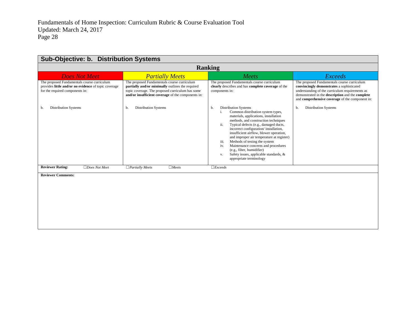| Sub-Objective: b. Distribution Systems                                                                                                 |                                                                                                                                                                                                           |                                                                                                                                                                                                                                                                                                                                                                                                                                                                                                                                                 |                                                                                                                                                                                                                                                    |  |
|----------------------------------------------------------------------------------------------------------------------------------------|-----------------------------------------------------------------------------------------------------------------------------------------------------------------------------------------------------------|-------------------------------------------------------------------------------------------------------------------------------------------------------------------------------------------------------------------------------------------------------------------------------------------------------------------------------------------------------------------------------------------------------------------------------------------------------------------------------------------------------------------------------------------------|----------------------------------------------------------------------------------------------------------------------------------------------------------------------------------------------------------------------------------------------------|--|
| <b>Ranking</b>                                                                                                                         |                                                                                                                                                                                                           |                                                                                                                                                                                                                                                                                                                                                                                                                                                                                                                                                 |                                                                                                                                                                                                                                                    |  |
| <b>Does Not Meet</b>                                                                                                                   | <b>Partially Meets</b>                                                                                                                                                                                    | Meets                                                                                                                                                                                                                                                                                                                                                                                                                                                                                                                                           | <b>Exceeds</b>                                                                                                                                                                                                                                     |  |
| The proposed Fundamentals course curriculum<br>provides little and/or no evidence of topic coverage<br>for the required components in: | The proposed Fundamentals course curriculum<br>partially and/or minimally outlines the required<br>topic coverage. The proposed curriculum has some<br>and/or insufficient coverage of the components in: | The proposed Fundamentals course curriculum<br>clearly describes and has complete coverage of the<br>components in:                                                                                                                                                                                                                                                                                                                                                                                                                             | The proposed Fundamentals course curriculum<br>convincingly demonstrates a sophisticated<br>understanding of the curriculum requirements as<br>demonstrated in the description and the complete<br>and comprehensive coverage of the component in: |  |
| <b>Distribution Systems</b><br>b.                                                                                                      | <b>Distribution Systems</b><br>b.                                                                                                                                                                         | <b>Distribution Systems</b><br>b.<br>Common distribution system types,<br>i.<br>materials, applications, installation<br>methods, and construction techniques<br>ii.<br>Typical defects (e.g., damaged ducts,<br>incorrect configuration/ installation,<br>insufficient airflow, blower operation,<br>and improper air temperature at register)<br>Methods of testing the system<br>iii.<br>Maintenance concerns and procedures<br>iv.<br>(e.g., filter, humidifier)<br>Safety issues, applicable standards, &<br>V.<br>appropriate terminology | <b>Distribution Systems</b><br>b.                                                                                                                                                                                                                  |  |
| <b>Reviewer Rating:</b><br>$\Box$ Does Not Meet                                                                                        | $\Box$ Meets<br>$\Box$ Partially Meets                                                                                                                                                                    | $\Box$ <i>Exceeds</i>                                                                                                                                                                                                                                                                                                                                                                                                                                                                                                                           |                                                                                                                                                                                                                                                    |  |
| <b>Reviewer Comments:</b>                                                                                                              |                                                                                                                                                                                                           |                                                                                                                                                                                                                                                                                                                                                                                                                                                                                                                                                 |                                                                                                                                                                                                                                                    |  |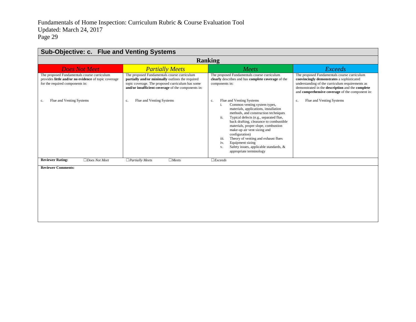| Sub-Objective: c. Flue and Venting Systems                                                                                             |                                                                                                                                                                                                           |                                                                                                                                                                                                                                                                                                                                                                                                                                                                                                |                                                                                                                                                                                                                                                    |  |  |
|----------------------------------------------------------------------------------------------------------------------------------------|-----------------------------------------------------------------------------------------------------------------------------------------------------------------------------------------------------------|------------------------------------------------------------------------------------------------------------------------------------------------------------------------------------------------------------------------------------------------------------------------------------------------------------------------------------------------------------------------------------------------------------------------------------------------------------------------------------------------|----------------------------------------------------------------------------------------------------------------------------------------------------------------------------------------------------------------------------------------------------|--|--|
|                                                                                                                                        | <b>Ranking</b>                                                                                                                                                                                            |                                                                                                                                                                                                                                                                                                                                                                                                                                                                                                |                                                                                                                                                                                                                                                    |  |  |
| <b>Does Not Meet</b>                                                                                                                   | <b>Partially Meets</b>                                                                                                                                                                                    | Meets                                                                                                                                                                                                                                                                                                                                                                                                                                                                                          | <b>Exceeds</b>                                                                                                                                                                                                                                     |  |  |
| The proposed Fundamentals course curriculum<br>provides little and/or no evidence of topic coverage<br>for the required components in: | The proposed Fundamentals course curriculum<br>partially and/or minimally outlines the required<br>topic coverage. The proposed curriculum has some<br>and/or insufficient coverage of the components in: | The proposed Fundamentals course curriculum<br>clearly describes and has complete coverage of the<br>components in:                                                                                                                                                                                                                                                                                                                                                                            | The proposed Fundamentals course curriculum<br>convincingly demonstrates a sophisticated<br>understanding of the curriculum requirements as<br>demonstrated in the description and the complete<br>and comprehensive coverage of the component in: |  |  |
| Flue and Venting Systems<br>c.                                                                                                         | Flue and Venting Systems<br>c.                                                                                                                                                                            | Flue and Venting Systems<br>c.<br>Common venting system types,<br>i.<br>materials, applications, installation<br>methods, and construction techniques<br>ii.<br>Typical defects (e.g., separated flue,<br>back drafting, clearance to combustible<br>materials, proper slope, combustion<br>make-up air vent sizing and<br>configuration)<br>Theory of venting and exhaust flues<br>iii.<br>Equipment sizing<br>iv.<br>Safety issues, applicable standards, &<br>V.<br>appropriate terminology | Flue and Venting Systems<br>c.                                                                                                                                                                                                                     |  |  |
| <b>Reviewer Rating:</b><br>$\Box$ Does Not Meet                                                                                        | $\Box$ Partially Meets<br>$\Box$ Meets                                                                                                                                                                    | $\Box$ <i>Exceeds</i>                                                                                                                                                                                                                                                                                                                                                                                                                                                                          |                                                                                                                                                                                                                                                    |  |  |
| <b>Reviewer Comments:</b>                                                                                                              |                                                                                                                                                                                                           |                                                                                                                                                                                                                                                                                                                                                                                                                                                                                                |                                                                                                                                                                                                                                                    |  |  |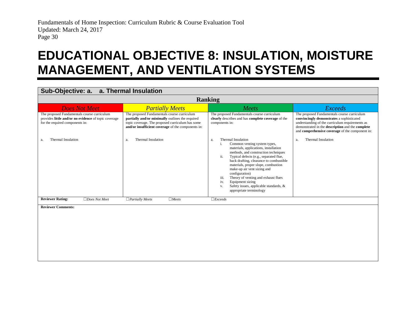### **EDUCATIONAL OBJECTIVE 8: INSULATION, MOISTURE MANAGEMENT, AND VENTILATION SYSTEMS**

#### **Sub-Objective: a. a. Thermal Insulation**

<span id="page-31-0"></span>

| <b>Ranking</b>                                                                                                                         |                                                                                                                                                                                                           |                                                                                                                                                                                                                                                                                                                                                                                                                                                                                          |                                                                                                                                                                                                                                                    |  |
|----------------------------------------------------------------------------------------------------------------------------------------|-----------------------------------------------------------------------------------------------------------------------------------------------------------------------------------------------------------|------------------------------------------------------------------------------------------------------------------------------------------------------------------------------------------------------------------------------------------------------------------------------------------------------------------------------------------------------------------------------------------------------------------------------------------------------------------------------------------|----------------------------------------------------------------------------------------------------------------------------------------------------------------------------------------------------------------------------------------------------|--|
| <b>Does Not Meet</b>                                                                                                                   | <b>Partially Meets</b>                                                                                                                                                                                    | Meets                                                                                                                                                                                                                                                                                                                                                                                                                                                                                    | <i>Exceeds</i>                                                                                                                                                                                                                                     |  |
| The proposed Fundamentals course curriculum<br>provides little and/or no evidence of topic coverage<br>for the required components in: | The proposed Fundamentals course curriculum<br>partially and/or minimally outlines the required<br>topic coverage. The proposed curriculum has some<br>and/or insufficient coverage of the components in: | The proposed Fundamentals course curriculum<br>clearly describes and has complete coverage of the<br>components in:                                                                                                                                                                                                                                                                                                                                                                      | The proposed Fundamentals course curriculum<br>convincingly demonstrates a sophisticated<br>understanding of the curriculum requirements as<br>demonstrated in the description and the complete<br>and comprehensive coverage of the component in: |  |
| Thermal Insulation<br>a.                                                                                                               | <b>Thermal Insulation</b><br>a.                                                                                                                                                                           | Thermal Insulation<br>a.<br>Common venting system types,<br>i.<br>materials, applications, installation<br>methods, and construction techniques<br>ii.<br>Typical defects (e.g., separated flue,<br>back drafting, clearance to combustible<br>materials, proper slope, combustion<br>make-up air vent sizing and<br>configuration)<br>iii.<br>Theory of venting and exhaust flues<br>Equipment sizing<br>iv.<br>Safety issues, applicable standards, &<br>V.<br>appropriate terminology | Thermal Insulation<br>a.                                                                                                                                                                                                                           |  |
| <b>Reviewer Rating:</b><br>$\Box$ Does Not Meet                                                                                        | $\Box$ Partially Meets<br>$\Box$ Meets                                                                                                                                                                    | $\Box$ <i>Exceeds</i>                                                                                                                                                                                                                                                                                                                                                                                                                                                                    |                                                                                                                                                                                                                                                    |  |
| <b>Reviewer Comments:</b>                                                                                                              |                                                                                                                                                                                                           |                                                                                                                                                                                                                                                                                                                                                                                                                                                                                          |                                                                                                                                                                                                                                                    |  |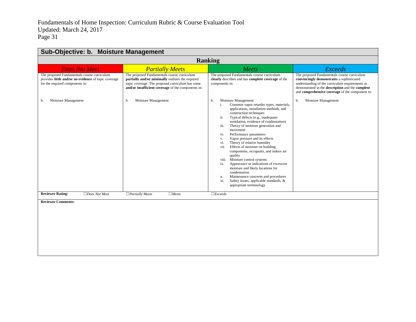| Sub-Objective: b. Moisture Management                                                                                                  |                                                                                                                                                                                                           |                                                                                                                                                                                                                                                                                                                                                                                                                                                                                                                                                                                                                                                                                                                                                                             |                                                                                                                                                                                                                                                           |  |
|----------------------------------------------------------------------------------------------------------------------------------------|-----------------------------------------------------------------------------------------------------------------------------------------------------------------------------------------------------------|-----------------------------------------------------------------------------------------------------------------------------------------------------------------------------------------------------------------------------------------------------------------------------------------------------------------------------------------------------------------------------------------------------------------------------------------------------------------------------------------------------------------------------------------------------------------------------------------------------------------------------------------------------------------------------------------------------------------------------------------------------------------------------|-----------------------------------------------------------------------------------------------------------------------------------------------------------------------------------------------------------------------------------------------------------|--|
| <b>Ranking</b>                                                                                                                         |                                                                                                                                                                                                           |                                                                                                                                                                                                                                                                                                                                                                                                                                                                                                                                                                                                                                                                                                                                                                             |                                                                                                                                                                                                                                                           |  |
| <b>Does Not Meet</b>                                                                                                                   | <b>Partially Meets</b>                                                                                                                                                                                    | Meets                                                                                                                                                                                                                                                                                                                                                                                                                                                                                                                                                                                                                                                                                                                                                                       | <b>Exceeds</b>                                                                                                                                                                                                                                            |  |
| The proposed Fundamentals course curriculum<br>provides little and/or no evidence of topic coverage<br>for the required components in: | The proposed Fundamentals course curriculum<br>partially and/or minimally outlines the required<br>topic coverage. The proposed curriculum has some<br>and/or insufficient coverage of the components in: | The proposed Fundamentals course curriculum<br>clearly describes and has complete coverage of the<br>components in:                                                                                                                                                                                                                                                                                                                                                                                                                                                                                                                                                                                                                                                         | The proposed Fundamentals course curriculum<br>convincingly demonstrates a sophisticated<br>understanding of the curriculum requirements as<br>demonstrated in the description and the complete<br>and <b>comprehensive coverage</b> of the component in: |  |
| Moisture Management<br>b.                                                                                                              | Moisture Management<br>b.                                                                                                                                                                                 | Moisture Management<br>b.<br>Common vapor retarder types, materials,<br>applications, installation methods, and<br>construction techniques<br>Typical defects (e.g., inadequate<br>ii.<br>ventilation, evidence of condensation)<br>Theory of moisture generation and<br>iii.<br>movement<br>Performance parameters<br>iv.<br>Vapor pressure and its effects<br>v.<br>Theory of relative humidity<br>vi.<br>Effects of moisture on building<br>vii.<br>components, occupants, and indoor air<br>quality<br>Moisture control systems<br>viii.<br>Appearance or indications of excessive<br>ix.<br>moisture and likely locations for<br>condensation<br>Maintenance concerns and procedures<br>X.<br>Safety issues, applicable standards, &<br>xi.<br>appropriate terminology | Moisture Management<br>b.                                                                                                                                                                                                                                 |  |
| <b>Reviewer Rating:</b><br>$\Box$ Does Not Meet                                                                                        | $\Box$ Partially Meets<br>$\Box$ Meets                                                                                                                                                                    | $\Box$ <i>Exceeds</i>                                                                                                                                                                                                                                                                                                                                                                                                                                                                                                                                                                                                                                                                                                                                                       |                                                                                                                                                                                                                                                           |  |
| <b>Reviewer Comments:</b>                                                                                                              |                                                                                                                                                                                                           |                                                                                                                                                                                                                                                                                                                                                                                                                                                                                                                                                                                                                                                                                                                                                                             |                                                                                                                                                                                                                                                           |  |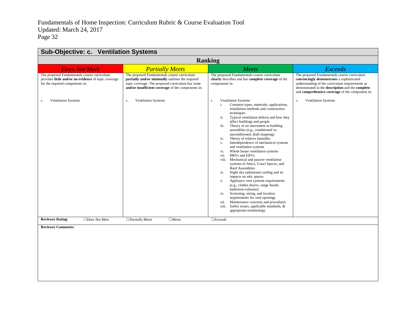| Sub-Objective: c. Ventilation Systems                                                                                                  |                                                                                                                                                                                                           |                                                                                                                                                                                                                                                                                                                                                                                                                                                                                                                                                                                                                                                                                                                                                                                                                                                                                                                                                                                                                                           |                                                                                                                                                                                                                                                    |  |
|----------------------------------------------------------------------------------------------------------------------------------------|-----------------------------------------------------------------------------------------------------------------------------------------------------------------------------------------------------------|-------------------------------------------------------------------------------------------------------------------------------------------------------------------------------------------------------------------------------------------------------------------------------------------------------------------------------------------------------------------------------------------------------------------------------------------------------------------------------------------------------------------------------------------------------------------------------------------------------------------------------------------------------------------------------------------------------------------------------------------------------------------------------------------------------------------------------------------------------------------------------------------------------------------------------------------------------------------------------------------------------------------------------------------|----------------------------------------------------------------------------------------------------------------------------------------------------------------------------------------------------------------------------------------------------|--|
| <b>Ranking</b>                                                                                                                         |                                                                                                                                                                                                           |                                                                                                                                                                                                                                                                                                                                                                                                                                                                                                                                                                                                                                                                                                                                                                                                                                                                                                                                                                                                                                           |                                                                                                                                                                                                                                                    |  |
| <b>Does Not Meet</b>                                                                                                                   | <b>Partially Meets</b>                                                                                                                                                                                    | Meets                                                                                                                                                                                                                                                                                                                                                                                                                                                                                                                                                                                                                                                                                                                                                                                                                                                                                                                                                                                                                                     | <b>Exceeds</b>                                                                                                                                                                                                                                     |  |
| The proposed Fundamentals course curriculum<br>provides little and/or no evidence of topic coverage<br>for the required components in: | The proposed Fundamentals course curriculum<br>partially and/or minimally outlines the required<br>topic coverage. The proposed curriculum has some<br>and/or insufficient coverage of the components in: | The proposed Fundamentals course curriculum<br>clearly describes and has complete coverage of the<br>components in:                                                                                                                                                                                                                                                                                                                                                                                                                                                                                                                                                                                                                                                                                                                                                                                                                                                                                                                       | The proposed Fundamentals course curriculum<br>convincingly demonstrates a sophisticated<br>understanding of the curriculum requirements as<br>demonstrated in the description and the complete<br>and comprehensive coverage of the component in: |  |
| <b>Ventilation Systems</b><br>c.                                                                                                       | <b>Ventilation Systems</b><br>c.                                                                                                                                                                          | <b>Ventilation Systems</b><br>c.<br>Common types, materials, applications,<br>i.<br>installation methods and construction<br>techniques<br>Typical ventilation defects and how they<br>ii.<br>affect buildings and people<br>Theory of air movement in building<br>iii.<br>assemblies (e.g., conditioned vs.<br>unconditioned, draft stopping)<br>Theory of relative humidity<br>iv.<br>Interdependence of mechanical systems<br>V.<br>and ventilation systems<br>Whole house ventilation systems<br>vi.<br>HRVs and ERVs<br>vii.<br>Mechanical and passive ventilation<br>viii.<br>systems of Attics, Crawl Spaces, and<br>Roof Assemblies<br>Night sky radiational cooling and its<br>ix.<br>impacts on attic spaces<br>Appliance vent systems requirements<br>X.<br>(e.g., clothes dryers, range hoods,<br>bathroom exhausts)<br>Screening, sizing, and location<br>xi.<br>requirements for vent openings<br>Maintenance concerns and procedures<br>xii.<br>Safety issues, applicable standards, &<br>xiii.<br>appropriate terminology | <b>Ventilation Systems</b><br>c.                                                                                                                                                                                                                   |  |
| <b>Reviewer Rating:</b><br>$\Box$ Does Not Meet                                                                                        | $\Box$ Partially Meets<br>$\Box$ Meets                                                                                                                                                                    | $\Box$ <i>Exceeds</i>                                                                                                                                                                                                                                                                                                                                                                                                                                                                                                                                                                                                                                                                                                                                                                                                                                                                                                                                                                                                                     |                                                                                                                                                                                                                                                    |  |
| <b>Reviewer Comments:</b>                                                                                                              |                                                                                                                                                                                                           |                                                                                                                                                                                                                                                                                                                                                                                                                                                                                                                                                                                                                                                                                                                                                                                                                                                                                                                                                                                                                                           |                                                                                                                                                                                                                                                    |  |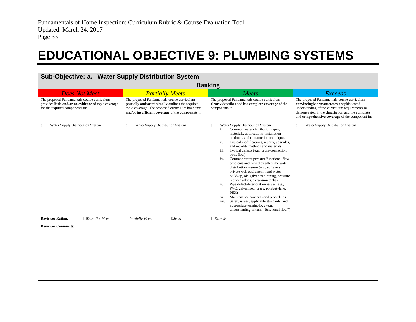### **EDUCATIONAL OBJECTIVE 9: PLUMBING SYSTEMS**

<span id="page-34-0"></span>

| Sub-Objective: a. Water Supply Distribution System                                                                                     |                                                                                                                                                                                                           |                                                                                                                                                                                                                                                                                                                                                                                                                                                                                                                                                                                                                                                                                                                                                                                                                                                                            |                                                                                                                                                                                                                                                    |
|----------------------------------------------------------------------------------------------------------------------------------------|-----------------------------------------------------------------------------------------------------------------------------------------------------------------------------------------------------------|----------------------------------------------------------------------------------------------------------------------------------------------------------------------------------------------------------------------------------------------------------------------------------------------------------------------------------------------------------------------------------------------------------------------------------------------------------------------------------------------------------------------------------------------------------------------------------------------------------------------------------------------------------------------------------------------------------------------------------------------------------------------------------------------------------------------------------------------------------------------------|----------------------------------------------------------------------------------------------------------------------------------------------------------------------------------------------------------------------------------------------------|
|                                                                                                                                        |                                                                                                                                                                                                           | <b>Ranking</b>                                                                                                                                                                                                                                                                                                                                                                                                                                                                                                                                                                                                                                                                                                                                                                                                                                                             |                                                                                                                                                                                                                                                    |
| <b>Does Not Meet</b>                                                                                                                   | <b>Partially Meets</b>                                                                                                                                                                                    | Meets                                                                                                                                                                                                                                                                                                                                                                                                                                                                                                                                                                                                                                                                                                                                                                                                                                                                      | <b>Exceeds</b>                                                                                                                                                                                                                                     |
| The proposed Fundamentals course curriculum<br>provides little and/or no evidence of topic coverage<br>for the required components in: | The proposed Fundamentals course curriculum<br>partially and/or minimally outlines the required<br>topic coverage. The proposed curriculum has some<br>and/or insufficient coverage of the components in: | The proposed Fundamentals course curriculum<br>clearly describes and has complete coverage of the<br>components in:                                                                                                                                                                                                                                                                                                                                                                                                                                                                                                                                                                                                                                                                                                                                                        | The proposed Fundamentals course curriculum<br>convincingly demonstrates a sophisticated<br>understanding of the curriculum requirements as<br>demonstrated in the description and the complete<br>and comprehensive coverage of the component in: |
| Water Supply Distribution System<br>a.                                                                                                 | Water Supply Distribution System<br>a.                                                                                                                                                                    | Water Supply Distribution System<br>a.<br>Common water distribution types,<br>i.<br>materials, applications, installation<br>methods, and construction techniques<br>Typical modifications, repairs, upgrades,<br>ii.<br>and retrofits methods and materials<br>Typical defects (e.g., cross-connection,<br>iii.<br>back flow)<br>Common water pressure/functional flow<br>iv.<br>problems and how they affect the water<br>distribution system (e.g., softeners,<br>private well equipment, hard water<br>build-up, old galvanized piping, pressure<br>reducer valves, expansion tanks)<br>Pipe defect/deterioration issues (e.g.,<br>V.<br>PVC, galvanized, brass, polybutylene,<br>PEX)<br>Maintenance concerns and procedures<br>vi.<br>Safety issues, applicable standards, and<br>vii.<br>appropriate terminology (e.g.,<br>understanding of term "functional flow") | Water Supply Distribution System<br>a.                                                                                                                                                                                                             |
| <b>Reviewer Rating:</b><br>$\Box$ Does Not Meet                                                                                        | $\Box$ Meets<br>$\Box$ Partially Meets                                                                                                                                                                    | $\Box$ <i>Exceeds</i>                                                                                                                                                                                                                                                                                                                                                                                                                                                                                                                                                                                                                                                                                                                                                                                                                                                      |                                                                                                                                                                                                                                                    |
| <b>Reviewer Comments:</b>                                                                                                              |                                                                                                                                                                                                           |                                                                                                                                                                                                                                                                                                                                                                                                                                                                                                                                                                                                                                                                                                                                                                                                                                                                            |                                                                                                                                                                                                                                                    |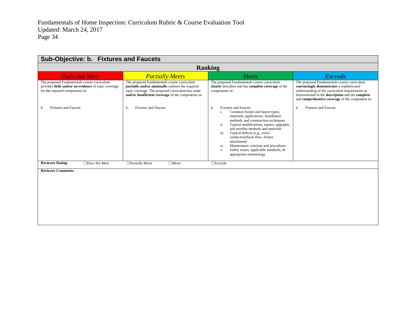| Sub-Objective: b. Fixtures and Faucets                                                                                                 |                                                                                                                                                                                                           |                                                                                                                                                                                                                                                                                                                                                                                                                                                                           |                                                                                                                                                                                                                                                    |  |  |
|----------------------------------------------------------------------------------------------------------------------------------------|-----------------------------------------------------------------------------------------------------------------------------------------------------------------------------------------------------------|---------------------------------------------------------------------------------------------------------------------------------------------------------------------------------------------------------------------------------------------------------------------------------------------------------------------------------------------------------------------------------------------------------------------------------------------------------------------------|----------------------------------------------------------------------------------------------------------------------------------------------------------------------------------------------------------------------------------------------------|--|--|
|                                                                                                                                        | <b>Ranking</b>                                                                                                                                                                                            |                                                                                                                                                                                                                                                                                                                                                                                                                                                                           |                                                                                                                                                                                                                                                    |  |  |
| <b>Does Not Meet</b>                                                                                                                   | <b>Partially Meets</b>                                                                                                                                                                                    | Meets                                                                                                                                                                                                                                                                                                                                                                                                                                                                     | <b>Exceeds</b>                                                                                                                                                                                                                                     |  |  |
| The proposed Fundamentals course curriculum<br>provides little and/or no evidence of topic coverage<br>for the required components in: | The proposed Fundamentals course curriculum<br>partially and/or minimally outlines the required<br>topic coverage. The proposed curriculum has some<br>and/or insufficient coverage of the components in: | The proposed Fundamentals course curriculum<br>clearly describes and has complete coverage of the<br>components in:                                                                                                                                                                                                                                                                                                                                                       | The proposed Fundamentals course curriculum<br>convincingly demonstrates a sophisticated<br>understanding of the curriculum requirements as<br>demonstrated in the description and the complete<br>and comprehensive coverage of the component in: |  |  |
| <b>Fixtures and Faucets</b><br>b.                                                                                                      | <b>Fixtures and Faucets</b><br>b.                                                                                                                                                                         | <b>Fixtures and Faucets</b><br>b.<br>Common fixture and faucet types,<br>i.<br>materials, applications, installation<br>methods, and construction techniques<br>ii.<br>Typical modifications, repairs, upgrades,<br>and retrofits methods and materials<br>iii.<br>Typical defects (e.g., cross-<br>connection/back-flow, fixture<br>attachment)<br>Maintenance concerns and procedures<br>iv.<br>Safety issues, applicable standards, &<br>V.<br>appropriate terminology | <b>Fixtures and Faucets</b><br>b.                                                                                                                                                                                                                  |  |  |
| <b>Reviewer Rating:</b><br>$\Box$ Does Not Meet                                                                                        | $\Box$ Partially Meets<br>$\Box$ Meets                                                                                                                                                                    | $\Box$ <i>Exceeds</i>                                                                                                                                                                                                                                                                                                                                                                                                                                                     |                                                                                                                                                                                                                                                    |  |  |
| <b>Reviewer Comments:</b>                                                                                                              |                                                                                                                                                                                                           |                                                                                                                                                                                                                                                                                                                                                                                                                                                                           |                                                                                                                                                                                                                                                    |  |  |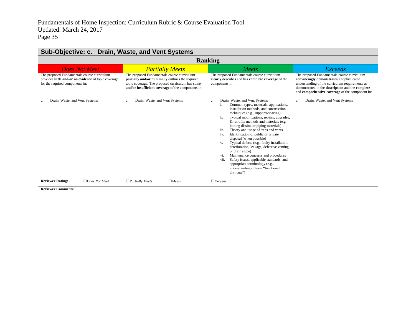| Sub-Objective: c. Drain, Waste, and Vent Systems                                                                                       |                                                                                                                                                                                                           |                                                                                                                                                                                                                                                                                                                                                                                                                                                                                                                                                                                                                                                                                                                                                    |                                                                                                                                                                                                                                                    |  |  |
|----------------------------------------------------------------------------------------------------------------------------------------|-----------------------------------------------------------------------------------------------------------------------------------------------------------------------------------------------------------|----------------------------------------------------------------------------------------------------------------------------------------------------------------------------------------------------------------------------------------------------------------------------------------------------------------------------------------------------------------------------------------------------------------------------------------------------------------------------------------------------------------------------------------------------------------------------------------------------------------------------------------------------------------------------------------------------------------------------------------------------|----------------------------------------------------------------------------------------------------------------------------------------------------------------------------------------------------------------------------------------------------|--|--|
|                                                                                                                                        | <b>Ranking</b>                                                                                                                                                                                            |                                                                                                                                                                                                                                                                                                                                                                                                                                                                                                                                                                                                                                                                                                                                                    |                                                                                                                                                                                                                                                    |  |  |
| <b>Does Not Meet</b>                                                                                                                   | <b>Partially Meets</b>                                                                                                                                                                                    | Meets                                                                                                                                                                                                                                                                                                                                                                                                                                                                                                                                                                                                                                                                                                                                              | <b>Exceeds</b>                                                                                                                                                                                                                                     |  |  |
| The proposed Fundamentals course curriculum<br>provides little and/or no evidence of topic coverage<br>for the required components in: | The proposed Fundamentals course curriculum<br>partially and/or minimally outlines the required<br>topic coverage. The proposed curriculum has some<br>and/or insufficient coverage of the components in: | The proposed Fundamentals course curriculum<br>clearly describes and has complete coverage of the<br>components in:                                                                                                                                                                                                                                                                                                                                                                                                                                                                                                                                                                                                                                | The proposed Fundamentals course curriculum<br>convincingly demonstrates a sophisticated<br>understanding of the curriculum requirements as<br>demonstrated in the description and the complete<br>and comprehensive coverage of the component in: |  |  |
| Drain, Waste, and Vent Systems<br>c.                                                                                                   | Drain, Waste, and Vent Systems<br>c.                                                                                                                                                                      | Drain, Waste, and Vent Systems<br>c.<br>Common types, materials, applications,<br>i.<br>installation methods, and construction<br>techniques (e.g., supports/spacing)<br>Typical modifications, repairs, upgrades,<br>ii.<br>& retrofits methods and materials (e.g.,<br>joining dissimilar piping materials)<br>Theory and usage of traps and vents<br>iii.<br>Identification of public or private<br>iv.<br>disposal (when possible)<br>Typical defects (e.g., faulty installation,<br>V.<br>deterioration, leakage, defective venting<br>or drain slope)<br>Maintenance concerns and procedures<br>vi.<br>Safety issues, applicable standards, and<br>vii.<br>appropriate terminology (e.g.,<br>understanding of term "functional<br>drainage") | Drain, Waste, and Vent Systems<br>c.                                                                                                                                                                                                               |  |  |
| <b>Reviewer Rating:</b><br>$\Box$ Does Not Meet                                                                                        | $\Box$ Partially Meets<br>$\Box$ Meets                                                                                                                                                                    | $\Box$ <i>Exceeds</i>                                                                                                                                                                                                                                                                                                                                                                                                                                                                                                                                                                                                                                                                                                                              |                                                                                                                                                                                                                                                    |  |  |
| <b>Reviewer Comments:</b>                                                                                                              |                                                                                                                                                                                                           |                                                                                                                                                                                                                                                                                                                                                                                                                                                                                                                                                                                                                                                                                                                                                    |                                                                                                                                                                                                                                                    |  |  |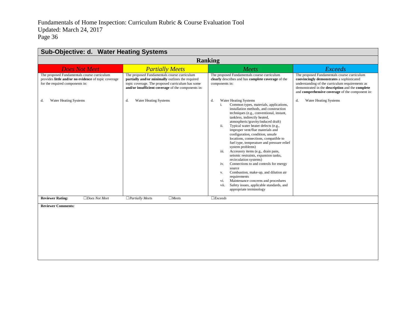| Sub-Objective: d. Water Heating Systems                                                                                                |                                                                                                                                                                                                           |                                                                                                                                                                                                                                                                                                                                                                                                                                                                                                                                                                                                                                                                                                                                                                                                                                                        |                                                                                                                                                                                                                                                    |  |
|----------------------------------------------------------------------------------------------------------------------------------------|-----------------------------------------------------------------------------------------------------------------------------------------------------------------------------------------------------------|--------------------------------------------------------------------------------------------------------------------------------------------------------------------------------------------------------------------------------------------------------------------------------------------------------------------------------------------------------------------------------------------------------------------------------------------------------------------------------------------------------------------------------------------------------------------------------------------------------------------------------------------------------------------------------------------------------------------------------------------------------------------------------------------------------------------------------------------------------|----------------------------------------------------------------------------------------------------------------------------------------------------------------------------------------------------------------------------------------------------|--|
| <b>Ranking</b>                                                                                                                         |                                                                                                                                                                                                           |                                                                                                                                                                                                                                                                                                                                                                                                                                                                                                                                                                                                                                                                                                                                                                                                                                                        |                                                                                                                                                                                                                                                    |  |
| <b>Does Not Meet</b>                                                                                                                   | <b>Partially Meets</b>                                                                                                                                                                                    | Meets                                                                                                                                                                                                                                                                                                                                                                                                                                                                                                                                                                                                                                                                                                                                                                                                                                                  | <b>Exceeds</b>                                                                                                                                                                                                                                     |  |
| The proposed Fundamentals course curriculum<br>provides little and/or no evidence of topic coverage<br>for the required components in: | The proposed Fundamentals course curriculum<br>partially and/or minimally outlines the required<br>topic coverage. The proposed curriculum has some<br>and/or insufficient coverage of the components in: | The proposed Fundamentals course curriculum<br>clearly describes and has complete coverage of the<br>components in:                                                                                                                                                                                                                                                                                                                                                                                                                                                                                                                                                                                                                                                                                                                                    | The proposed Fundamentals course curriculum<br>convincingly demonstrates a sophisticated<br>understanding of the curriculum requirements as<br>demonstrated in the description and the complete<br>and comprehensive coverage of the component in: |  |
| <b>Water Heating Systems</b><br>d.                                                                                                     | <b>Water Heating Systems</b><br>d.                                                                                                                                                                        | <b>Water Heating Systems</b><br>d.<br>Common types, materials, applications,<br>i.<br>installation methods, and construction<br>techniques (e.g., conventional, instant,<br>tankless, indirectly heated,<br>atmospheric/gravity/induced draft)<br>Typical water heater defects (e.g.,<br>ii.<br>improper vent/flue materials and<br>configuration, condition, unsafe<br>locations, connections, compatible to<br>fuel type, temperature and pressure relief<br>system problems)<br>Accessory items (e.g., drain pans,<br>iii.<br>seismic restraints, expansion tanks,<br>recirculation systems)<br>Connections to and controls for energy<br>iv.<br>source<br>Combustion, make-up, and dilution air<br>V.<br>requirements<br>Maintenance concerns and procedures<br>vi.<br>Safety issues, applicable standards, and<br>vii.<br>appropriate terminology | <b>Water Heating Systems</b><br>d.                                                                                                                                                                                                                 |  |
| <b>Reviewer Rating:</b><br>$\Box$ Does Not Meet                                                                                        | $\Box$ Partially Meets<br>$\Box$ Meets                                                                                                                                                                    | $\Box$ <i>Exceeds</i>                                                                                                                                                                                                                                                                                                                                                                                                                                                                                                                                                                                                                                                                                                                                                                                                                                  |                                                                                                                                                                                                                                                    |  |
| <b>Reviewer Comments:</b>                                                                                                              |                                                                                                                                                                                                           |                                                                                                                                                                                                                                                                                                                                                                                                                                                                                                                                                                                                                                                                                                                                                                                                                                                        |                                                                                                                                                                                                                                                    |  |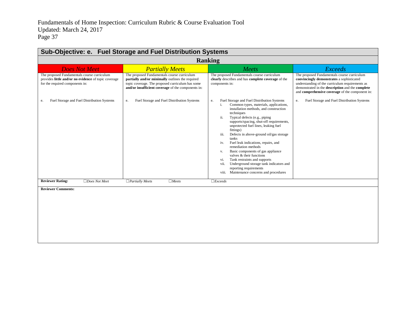| Sub-Objective: e. Fuel Storage and Fuel Distribution Systems                                                                           |                                                                                                                                                                                                           |                                                                                                                                                                                                                                                                                                                                                                                                                                                                                                                                                                                                                                                                               |                                                                                                                                                                                                                                                    |
|----------------------------------------------------------------------------------------------------------------------------------------|-----------------------------------------------------------------------------------------------------------------------------------------------------------------------------------------------------------|-------------------------------------------------------------------------------------------------------------------------------------------------------------------------------------------------------------------------------------------------------------------------------------------------------------------------------------------------------------------------------------------------------------------------------------------------------------------------------------------------------------------------------------------------------------------------------------------------------------------------------------------------------------------------------|----------------------------------------------------------------------------------------------------------------------------------------------------------------------------------------------------------------------------------------------------|
|                                                                                                                                        |                                                                                                                                                                                                           | <b>Ranking</b>                                                                                                                                                                                                                                                                                                                                                                                                                                                                                                                                                                                                                                                                |                                                                                                                                                                                                                                                    |
| <b>Does Not Meet</b>                                                                                                                   | <b>Partially Meets</b>                                                                                                                                                                                    | Meets                                                                                                                                                                                                                                                                                                                                                                                                                                                                                                                                                                                                                                                                         | <b>Exceeds</b>                                                                                                                                                                                                                                     |
| The proposed Fundamentals course curriculum<br>provides little and/or no evidence of topic coverage<br>for the required components in: | The proposed Fundamentals course curriculum<br>partially and/or minimally outlines the required<br>topic coverage. The proposed curriculum has some<br>and/or insufficient coverage of the components in: | The proposed Fundamentals course curriculum<br>clearly describes and has complete coverage of the<br>components in:                                                                                                                                                                                                                                                                                                                                                                                                                                                                                                                                                           | The proposed Fundamentals course curriculum<br>convincingly demonstrates a sophisticated<br>understanding of the curriculum requirements as<br>demonstrated in the description and the complete<br>and comprehensive coverage of the component in: |
| Fuel Storage and Fuel Distribution Systems<br>e.                                                                                       | Fuel Storage and Fuel Distribution Systems<br>e.                                                                                                                                                          | Fuel Storage and Fuel Distribution Systems<br>e.<br>Common types, materials, applications,<br>i.<br>installation methods, and construction<br>techniques<br>Typical defects (e.g., piping<br>ii.<br>supports/spacing, shut-off requirements,<br>unprotected fuel lines, leaking fuel<br>fittings)<br>iii.<br>Defects in above-ground oil/gas storage<br>tanks<br>Fuel leak indications, repairs, and<br>iv.<br>remediation methods<br>Basic components of gas appliance<br>V.<br>valves & their functions<br>Tank restraints and supports<br>vi.<br>Underground storage tank indicators and<br>vii.<br>reporting requirements<br>Maintenance concerns and procedures<br>viii. | Fuel Storage and Fuel Distribution Systems<br>e.                                                                                                                                                                                                   |
| <b>Reviewer Rating:</b><br>$\Box$ Does Not Meet                                                                                        | $\Box$ Partially Meets<br>$\Box$ Meets                                                                                                                                                                    | $\Box$ <i>Exceeds</i>                                                                                                                                                                                                                                                                                                                                                                                                                                                                                                                                                                                                                                                         |                                                                                                                                                                                                                                                    |
| <b>Reviewer Comments:</b>                                                                                                              |                                                                                                                                                                                                           |                                                                                                                                                                                                                                                                                                                                                                                                                                                                                                                                                                                                                                                                               |                                                                                                                                                                                                                                                    |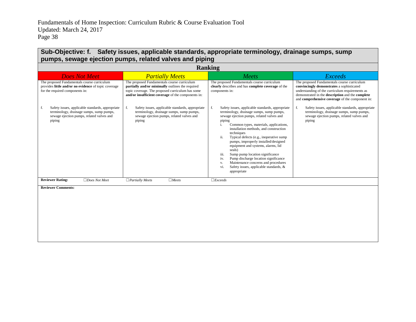#### **Sub-Objective: f. Safety issues, applicable standards, appropriate terminology, drainage sumps, sump pumps, sewage ejection pumps, related valves and piping**

| <b>Ranking</b>                                                                                                                                            |                                                                                                                                                                                                           |                                                                                                                                                                                                                                                                                                                                                                                                                                                                                                                                                                                                                    |                                                                                                                                                                                                                                                    |
|-----------------------------------------------------------------------------------------------------------------------------------------------------------|-----------------------------------------------------------------------------------------------------------------------------------------------------------------------------------------------------------|--------------------------------------------------------------------------------------------------------------------------------------------------------------------------------------------------------------------------------------------------------------------------------------------------------------------------------------------------------------------------------------------------------------------------------------------------------------------------------------------------------------------------------------------------------------------------------------------------------------------|----------------------------------------------------------------------------------------------------------------------------------------------------------------------------------------------------------------------------------------------------|
| <b>Does Not Meet</b>                                                                                                                                      | <b>Partially Meets</b>                                                                                                                                                                                    | Meets                                                                                                                                                                                                                                                                                                                                                                                                                                                                                                                                                                                                              | <b>Exceeds</b>                                                                                                                                                                                                                                     |
| The proposed Fundamentals course curriculum<br>provides little and/or no evidence of topic coverage<br>for the required components in:                    | The proposed Fundamentals course curriculum<br>partially and/or minimally outlines the required<br>topic coverage. The proposed curriculum has some<br>and/or insufficient coverage of the components in: | The proposed Fundamentals course curriculum<br>clearly describes and has complete coverage of the<br>components in:                                                                                                                                                                                                                                                                                                                                                                                                                                                                                                | The proposed Fundamentals course curriculum<br>convincingly demonstrates a sophisticated<br>understanding of the curriculum requirements as<br>demonstrated in the description and the complete<br>and comprehensive coverage of the component in: |
| Safety issues, applicable standards, appropriate<br>f.<br>terminology, drainage sumps, sump pumps,<br>sewage ejection pumps, related valves and<br>piping | Safety issues, applicable standards, appropriate<br>terminology, drainage sumps, sump pumps,<br>sewage ejection pumps, related valves and<br>piping                                                       | f.<br>Safety issues, applicable standards, appropriate<br>terminology, drainage sumps, sump pumps,<br>sewage ejection pumps, related valves and<br>piping<br>Common types, materials, applications,<br>i.<br>installation methods, and construction<br>techniques<br>Typical defects (e.g., inoperative sump<br>ii.<br>pumps, improperly installed/designed<br>equipment and systems, alarms, lid<br>seals)<br>iii.<br>Sump pump location significance<br>Pump discharge location significance<br>iv.<br>Maintenance concerns and procedures<br>v.<br>Safety issues, applicable standards, &<br>vi.<br>appropriate | Safety issues, applicable standards, appropriate<br>f.<br>terminology, drainage sumps, sump pumps,<br>sewage ejection pumps, related valves and<br>piping                                                                                          |
| <b>Reviewer Rating:</b><br>$\Box$ Does Not Meet                                                                                                           | $\Box$ Partially Meets<br>$\Box$ Meets                                                                                                                                                                    | $\Box$ <i>Exceeds</i>                                                                                                                                                                                                                                                                                                                                                                                                                                                                                                                                                                                              |                                                                                                                                                                                                                                                    |
| <b>Reviewer Comments:</b>                                                                                                                                 |                                                                                                                                                                                                           |                                                                                                                                                                                                                                                                                                                                                                                                                                                                                                                                                                                                                    |                                                                                                                                                                                                                                                    |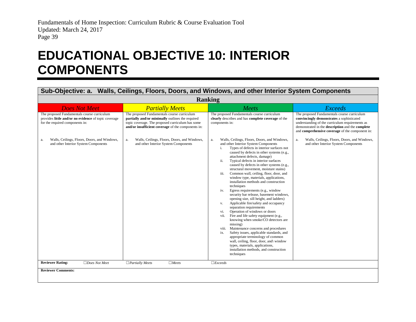### **EDUCATIONAL OBJECTIVE 10: INTERIOR COMPONENTS**

#### **Sub-Objective: a. Walls, Ceilings, Floors, Doors, and Windows, and other Interior System Components**

<span id="page-40-0"></span>

| <b>Ranking</b>                                                                                                                                                                               |                                                                                                                                                                                                                                                                 |                                                                                                                                                                                                                                                                                                                                                                                                                                                                                                                                                                                                                                                                                                                                                                                                                                                                                                                                                                                                                                                                                                |                                                                                                                                                                                                                                                                                                          |
|----------------------------------------------------------------------------------------------------------------------------------------------------------------------------------------------|-----------------------------------------------------------------------------------------------------------------------------------------------------------------------------------------------------------------------------------------------------------------|------------------------------------------------------------------------------------------------------------------------------------------------------------------------------------------------------------------------------------------------------------------------------------------------------------------------------------------------------------------------------------------------------------------------------------------------------------------------------------------------------------------------------------------------------------------------------------------------------------------------------------------------------------------------------------------------------------------------------------------------------------------------------------------------------------------------------------------------------------------------------------------------------------------------------------------------------------------------------------------------------------------------------------------------------------------------------------------------|----------------------------------------------------------------------------------------------------------------------------------------------------------------------------------------------------------------------------------------------------------------------------------------------------------|
| <b>Does Not Meet</b>                                                                                                                                                                         | <b>Partially Meets</b>                                                                                                                                                                                                                                          | Meets                                                                                                                                                                                                                                                                                                                                                                                                                                                                                                                                                                                                                                                                                                                                                                                                                                                                                                                                                                                                                                                                                          | <b>Exceeds</b>                                                                                                                                                                                                                                                                                           |
| The proposed Fundamentals course curriculum<br>provides little and/or no evidence of topic coverage<br>for the required components in:<br>Walls, Ceilings, Floors, Doors, and Windows,<br>a. | The proposed Fundamentals course curriculum<br>partially and/or minimally outlines the required<br>topic coverage. The proposed curriculum has some<br>and/or insufficient coverage of the components in:<br>Walls, Ceilings, Floors, Doors, and Windows,<br>a. | The proposed Fundamentals course curriculum<br>clearly describes and has complete coverage of the<br>components in:<br>Walls, Ceilings, Floors, Doors, and Windows,<br>a.                                                                                                                                                                                                                                                                                                                                                                                                                                                                                                                                                                                                                                                                                                                                                                                                                                                                                                                      | The proposed Fundamentals course curriculum<br>convincingly demonstrates a sophisticated<br>understanding of the curriculum requirements as<br>demonstrated in the description and the complete<br>and comprehensive coverage of the component in:<br>Walls, Ceilings, Floors, Doors, and Windows,<br>a. |
| and other Interior System Components                                                                                                                                                         | and other Interior System Components                                                                                                                                                                                                                            | and other Interior System Components<br>Types of defects in interior surfaces not<br>i.<br>caused by defects in other systems (e.g.,<br>attachment defects, damage)<br>Typical defects in interior surfaces<br>ii.<br>caused by defects in other systems (e.g.,<br>structural movement, moisture stains)<br>Common wall, ceiling, floor, door, and<br>iii.<br>window type, materials, applications,<br>installation methods and construction<br>techniques<br>Egress requirements (e.g., window<br>iv.<br>security bar release, basement windows,<br>opening size, sill height, and ladders)<br>Applicable fire/safety and occupancy<br>V.<br>separation requirements<br>Operation of windows or doors<br>vi.<br>Fire and life safety equipment (e.g.,<br>vii.<br>knowing when smoke/CO detectors are<br>missing)<br>Maintenance concerns and procedures<br>viii.<br>Safety issues, applicable standards, and<br>ix.<br>appropriate terminology of common<br>wall, ceiling, floor, door, and window<br>types, materials, applications,<br>installation methods, and construction<br>techniques | and other Interior System Components                                                                                                                                                                                                                                                                     |
| <b>Reviewer Rating:</b><br>$\Box$ Does Not Meet                                                                                                                                              | $\Box$ Partially Meets<br>$\Box$ Meets                                                                                                                                                                                                                          | $\Box$ <i>Exceeds</i>                                                                                                                                                                                                                                                                                                                                                                                                                                                                                                                                                                                                                                                                                                                                                                                                                                                                                                                                                                                                                                                                          |                                                                                                                                                                                                                                                                                                          |
| <b>Reviewer Comments:</b>                                                                                                                                                                    |                                                                                                                                                                                                                                                                 |                                                                                                                                                                                                                                                                                                                                                                                                                                                                                                                                                                                                                                                                                                                                                                                                                                                                                                                                                                                                                                                                                                |                                                                                                                                                                                                                                                                                                          |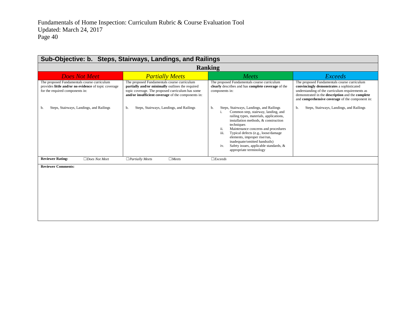| Sub-Objective: b. Steps, Stairways, Landings, and Railings                                                                             |                                                                                                                                                                                                           |                                                                                                                                                                                                                                                                                                                                                                                                                                        |                                                                                                                                                                                                                                                    |  |
|----------------------------------------------------------------------------------------------------------------------------------------|-----------------------------------------------------------------------------------------------------------------------------------------------------------------------------------------------------------|----------------------------------------------------------------------------------------------------------------------------------------------------------------------------------------------------------------------------------------------------------------------------------------------------------------------------------------------------------------------------------------------------------------------------------------|----------------------------------------------------------------------------------------------------------------------------------------------------------------------------------------------------------------------------------------------------|--|
|                                                                                                                                        |                                                                                                                                                                                                           | <b>Ranking</b>                                                                                                                                                                                                                                                                                                                                                                                                                         |                                                                                                                                                                                                                                                    |  |
| <b>Does Not Meet</b>                                                                                                                   | <b>Partially Meets</b>                                                                                                                                                                                    | Meets                                                                                                                                                                                                                                                                                                                                                                                                                                  | <b>Exceeds</b>                                                                                                                                                                                                                                     |  |
| The proposed Fundamentals course curriculum<br>provides little and/or no evidence of topic coverage<br>for the required components in: | The proposed Fundamentals course curriculum<br>partially and/or minimally outlines the required<br>topic coverage. The proposed curriculum has some<br>and/or insufficient coverage of the components in: | The proposed Fundamentals course curriculum<br>clearly describes and has complete coverage of the<br>components in:                                                                                                                                                                                                                                                                                                                    | The proposed Fundamentals course curriculum<br>convincingly demonstrates a sophisticated<br>understanding of the curriculum requirements as<br>demonstrated in the description and the complete<br>and comprehensive coverage of the component in: |  |
| Steps, Stairways, Landings, and Railings<br>b.                                                                                         | Steps, Stairways, Landings, and Railings<br>b.                                                                                                                                                            | Steps, Stairways, Landings, and Railings<br>b.<br>Common step, stairway, landing, and<br>i.<br>railing types, materials, applications,<br>installation methods, & construction<br>techniques<br>ii.<br>Maintenance concerns and procedures<br>iii.<br>Typical defects (e.g., loose/damage<br>elements, improper rise/run,<br>inadequate/omitted handrails)<br>Safety issues, applicable standards, &<br>iv.<br>appropriate terminology | Steps, Stairways, Landings, and Railings<br>b.                                                                                                                                                                                                     |  |
| <b>Reviewer Rating:</b><br>$\Box$ Does Not Meet                                                                                        | $\Box$ Meets<br>$\Box$ Partially Meets                                                                                                                                                                    | $\Box$ <i>Exceeds</i>                                                                                                                                                                                                                                                                                                                                                                                                                  |                                                                                                                                                                                                                                                    |  |
| <b>Reviewer Comments:</b>                                                                                                              |                                                                                                                                                                                                           |                                                                                                                                                                                                                                                                                                                                                                                                                                        |                                                                                                                                                                                                                                                    |  |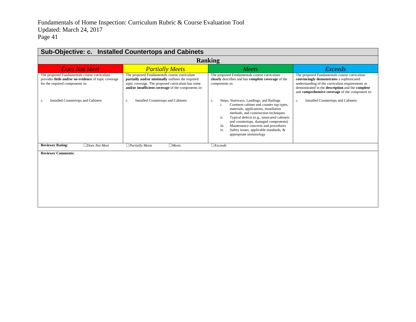| Sub-Objective: c. Installed Countertops and Cabinets                                                                                   |                                                                                                                                                                                                           |                                                                                                                                                                                                                                                                                                                                                                                                       |                                                                                                                                                                                                                                                    |  |
|----------------------------------------------------------------------------------------------------------------------------------------|-----------------------------------------------------------------------------------------------------------------------------------------------------------------------------------------------------------|-------------------------------------------------------------------------------------------------------------------------------------------------------------------------------------------------------------------------------------------------------------------------------------------------------------------------------------------------------------------------------------------------------|----------------------------------------------------------------------------------------------------------------------------------------------------------------------------------------------------------------------------------------------------|--|
|                                                                                                                                        |                                                                                                                                                                                                           | <b>Ranking</b>                                                                                                                                                                                                                                                                                                                                                                                        |                                                                                                                                                                                                                                                    |  |
| <b>Does Not Meet</b>                                                                                                                   | <b>Partially Meets</b>                                                                                                                                                                                    | Meets                                                                                                                                                                                                                                                                                                                                                                                                 | <b>Exceeds</b>                                                                                                                                                                                                                                     |  |
| The proposed Fundamentals course curriculum<br>provides little and/or no evidence of topic coverage<br>for the required components in: | The proposed Fundamentals course curriculum<br>partially and/or minimally outlines the required<br>topic coverage. The proposed curriculum has some<br>and/or insufficient coverage of the components in: | The proposed Fundamentals course curriculum<br>clearly describes and has complete coverage of the<br>components in:                                                                                                                                                                                                                                                                                   | The proposed Fundamentals course curriculum<br>convincingly demonstrates a sophisticated<br>understanding of the curriculum requirements as<br>demonstrated in the description and the complete<br>and comprehensive coverage of the component in: |  |
| <b>Installed Countertops and Cabinets</b><br>c.                                                                                        | <b>Installed Countertops and Cabinets</b><br>c.                                                                                                                                                           | Steps, Stairways, Landings, and Railings<br>c.<br>Common cabinet and counter top types,<br>i.<br>materials, applications, installation<br>methods, and construction techniques<br>ii.<br>Typical defects (e.g., unsecured cabinets<br>and countertops, damaged components)<br>Maintenance concerns and procedures<br>iii.<br>Safety issues, applicable standards, &<br>iv.<br>appropriate terminology | <b>Installed Countertops and Cabinets</b><br>c.                                                                                                                                                                                                    |  |
| <b>Reviewer Rating:</b><br>$\Box$ Does Not Meet                                                                                        | $\Box$ Partially Meets<br>$\Box$ Meets                                                                                                                                                                    | $\Box$ <i>Exceeds</i>                                                                                                                                                                                                                                                                                                                                                                                 |                                                                                                                                                                                                                                                    |  |
| <b>Reviewer Comments:</b>                                                                                                              |                                                                                                                                                                                                           |                                                                                                                                                                                                                                                                                                                                                                                                       |                                                                                                                                                                                                                                                    |  |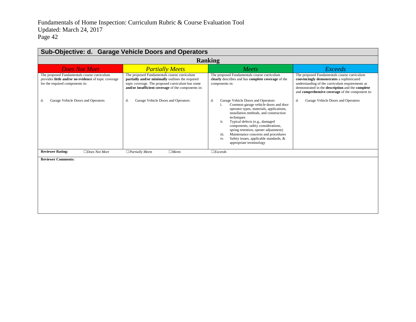| Sub-Objective: d. Garage Vehicle Doors and Operators                                                                                   |                                                                                                                                                                                                           |                                                                                                                                                                                                                                                                                                                                                                                                                                        |                                                                                                                                                                                                                                                    |
|----------------------------------------------------------------------------------------------------------------------------------------|-----------------------------------------------------------------------------------------------------------------------------------------------------------------------------------------------------------|----------------------------------------------------------------------------------------------------------------------------------------------------------------------------------------------------------------------------------------------------------------------------------------------------------------------------------------------------------------------------------------------------------------------------------------|----------------------------------------------------------------------------------------------------------------------------------------------------------------------------------------------------------------------------------------------------|
| <b>Ranking</b>                                                                                                                         |                                                                                                                                                                                                           |                                                                                                                                                                                                                                                                                                                                                                                                                                        |                                                                                                                                                                                                                                                    |
| <b>Does Not Meet</b>                                                                                                                   | <b>Partially Meets</b>                                                                                                                                                                                    | Meets                                                                                                                                                                                                                                                                                                                                                                                                                                  | <b>Exceeds</b>                                                                                                                                                                                                                                     |
| The proposed Fundamentals course curriculum<br>provides little and/or no evidence of topic coverage<br>for the required components in: | The proposed Fundamentals course curriculum<br>partially and/or minimally outlines the required<br>topic coverage. The proposed curriculum has some<br>and/or insufficient coverage of the components in: | The proposed Fundamentals course curriculum<br>clearly describes and has complete coverage of the<br>components in:                                                                                                                                                                                                                                                                                                                    | The proposed Fundamentals course curriculum<br>convincingly demonstrates a sophisticated<br>understanding of the curriculum requirements as<br>demonstrated in the description and the complete<br>and comprehensive coverage of the component in: |
| Garage Vehicle Doors and Operators<br>d.                                                                                               | Garage Vehicle Doors and Operators<br>d.                                                                                                                                                                  | Garage Vehicle Doors and Operators<br>d.<br>Common garage vehicle doors and door<br>operator types, materials, applications,<br>installation methods, and construction<br>techniques<br>ii.<br>Typical defects (e.g., damaged<br>components, safety considerations,<br>spring retention, opener adjustment)<br>iii.<br>Maintenance concerns and procedures<br>Safety issues, applicable standards, &<br>iv.<br>appropriate terminology | Garage Vehicle Doors and Operators<br>d.                                                                                                                                                                                                           |
| <b>Reviewer Rating:</b><br>$\Box$ Does Not Meet                                                                                        | $\Box$ Partially Meets<br>$\Box$ Meets                                                                                                                                                                    | $\Box$ <i>Exceeds</i>                                                                                                                                                                                                                                                                                                                                                                                                                  |                                                                                                                                                                                                                                                    |
| <b>Reviewer Comments:</b>                                                                                                              |                                                                                                                                                                                                           |                                                                                                                                                                                                                                                                                                                                                                                                                                        |                                                                                                                                                                                                                                                    |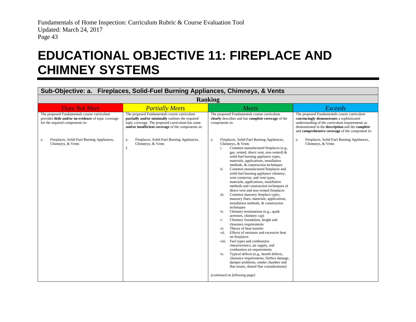### **EDUCATIONAL OBJECTIVE 11: FIREPLACE AND CHIMNEY SYSTEMS**

<span id="page-44-0"></span>

| <b>Ranking</b><br>Meets<br><b>Exceeds</b><br>The proposed Fundamentals course curriculum<br>The proposed Fundamentals course curriculum<br>clearly describes and has complete coverage of the<br>convincingly demonstrates a sophisticated<br>understanding of the curriculum requirements as<br>components in:<br>demonstrated in the description and the complete<br>and comprehensive coverage of the component in:<br>Fireplaces, Solid-Fuel Burning Appliances,<br>Fireplaces, Solid-Fuel Burning Appliances,<br>e.<br>e.<br>Chimneys, & Vents<br>Chimneys, & Vents<br>Common manufactured fireplaces (e.g.,<br>i.                                                                                                                                                                                                                                                                                                                                                                                                                                                                                                           |
|-----------------------------------------------------------------------------------------------------------------------------------------------------------------------------------------------------------------------------------------------------------------------------------------------------------------------------------------------------------------------------------------------------------------------------------------------------------------------------------------------------------------------------------------------------------------------------------------------------------------------------------------------------------------------------------------------------------------------------------------------------------------------------------------------------------------------------------------------------------------------------------------------------------------------------------------------------------------------------------------------------------------------------------------------------------------------------------------------------------------------------------|
|                                                                                                                                                                                                                                                                                                                                                                                                                                                                                                                                                                                                                                                                                                                                                                                                                                                                                                                                                                                                                                                                                                                                   |
|                                                                                                                                                                                                                                                                                                                                                                                                                                                                                                                                                                                                                                                                                                                                                                                                                                                                                                                                                                                                                                                                                                                                   |
|                                                                                                                                                                                                                                                                                                                                                                                                                                                                                                                                                                                                                                                                                                                                                                                                                                                                                                                                                                                                                                                                                                                                   |
| gas, vented, direct vent, non-vented) &<br>solid-fuel burning appliance types,<br>materials, applications, installation<br>methods, & construction techniques<br>Common manufactured fireplaces and<br>ii.<br>solid-fuel burning appliance chimney,<br>vent connector, and vent types,<br>materials, applications, installation<br>methods and construction techniques of<br>direct-vent and non-vented fireplaces<br>Common masonry fireplace types,<br>iii.<br>masonry flues, materials, applications,<br>installation methods, & construction<br>techniques<br>Chimney terminations (e.g., spark<br>iv.<br>arrestors, chimney cap)<br>Chimney foundation, height and<br>v.<br>clearance requirements<br>Theory of heat transfer<br>vi.<br>vii.<br>Effects of moisture and excessive heat<br>on fireplaces<br>viii. Fuel types and combustion<br>characteristics, air supply, and<br>combustion air requirements<br>Typical defects (e.g., hearth defects,<br>ix.<br>clearance requirements, firebox damage,<br>damper problems, smoke chamber and<br>flue issues, shared flue considerations)<br>(continued on following page) |
|                                                                                                                                                                                                                                                                                                                                                                                                                                                                                                                                                                                                                                                                                                                                                                                                                                                                                                                                                                                                                                                                                                                                   |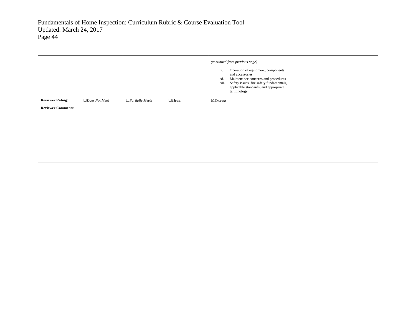|                           |                      |                        |              | (continued from previous page)<br>Operation of equipment, components,<br>х.<br>and accessories<br>Maintenance concerns and procedures<br>xi.<br>xii.<br>Safety issues, fire safety fundamentals,<br>applicable standards, and appropriate<br>terminology |
|---------------------------|----------------------|------------------------|--------------|----------------------------------------------------------------------------------------------------------------------------------------------------------------------------------------------------------------------------------------------------------|
| <b>Reviewer Rating:</b>   | $\Box$ Does Not Meet | $\Box$ Partially Meets | $\Box$ Meets | $\boxtimes$ <i>Exceeds</i>                                                                                                                                                                                                                               |
| <b>Reviewer Comments:</b> |                      |                        |              |                                                                                                                                                                                                                                                          |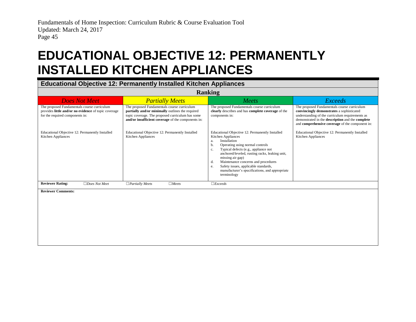### **EDUCATIONAL OBJECTIVE 12: PERMANENTLY INSTALLED KITCHEN APPLIANCES**

#### **Educational Objective 12: Permanently Installed Kitchen Appliances**

<span id="page-46-0"></span>

| <b>Ranking</b>                                                                                                                         |                                                                                                                                                                                                           |                                                                                                                                                                                                                                                                                                                                                                                                                                  |                                                                                                                                                                                                                                                    |
|----------------------------------------------------------------------------------------------------------------------------------------|-----------------------------------------------------------------------------------------------------------------------------------------------------------------------------------------------------------|----------------------------------------------------------------------------------------------------------------------------------------------------------------------------------------------------------------------------------------------------------------------------------------------------------------------------------------------------------------------------------------------------------------------------------|----------------------------------------------------------------------------------------------------------------------------------------------------------------------------------------------------------------------------------------------------|
| <b>Does Not Meet</b>                                                                                                                   | <b>Partially Meets</b>                                                                                                                                                                                    | <b>Meets</b>                                                                                                                                                                                                                                                                                                                                                                                                                     | Exceeds                                                                                                                                                                                                                                            |
| The proposed Fundamentals course curriculum<br>provides little and/or no evidence of topic coverage<br>for the required components in: | The proposed Fundamentals course curriculum<br>partially and/or minimally outlines the required<br>topic coverage. The proposed curriculum has some<br>and/or insufficient coverage of the components in: | The proposed Fundamentals course curriculum<br>clearly describes and has complete coverage of the<br>components in:                                                                                                                                                                                                                                                                                                              | The proposed Fundamentals course curriculum<br>convincingly demonstrates a sophisticated<br>understanding of the curriculum requirements as<br>demonstrated in the description and the complete<br>and comprehensive coverage of the component in: |
| Educational Objective 12: Permanently Installed<br>Kitchen Appliances                                                                  | Educational Objective 12: Permanently Installed<br>Kitchen Appliances                                                                                                                                     | Educational Objective 12: Permanently Installed<br>Kitchen Appliances<br>Installation<br>a.<br>Operating using normal controls<br>b.<br>Typical defects (e.g., appliance not<br>C <sub>1</sub><br>anchored/leveled, rusting racks, leaking unit,<br>missing air gap)<br>Maintenance concerns and procedures<br>d.<br>Safety issues, applicable standards,<br>e.<br>manufacturer's specifications, and appropriate<br>terminology | Educational Objective 12: Permanently Installed<br><b>Kitchen Appliances</b>                                                                                                                                                                       |
| <b>Reviewer Rating:</b><br>$\Box$ Does Not Meet                                                                                        | $\Box$ Partially Meets<br>$\Box$ Meets                                                                                                                                                                    | $\Box$ <i>Exceeds</i>                                                                                                                                                                                                                                                                                                                                                                                                            |                                                                                                                                                                                                                                                    |
| <b>Reviewer Comments:</b>                                                                                                              |                                                                                                                                                                                                           |                                                                                                                                                                                                                                                                                                                                                                                                                                  |                                                                                                                                                                                                                                                    |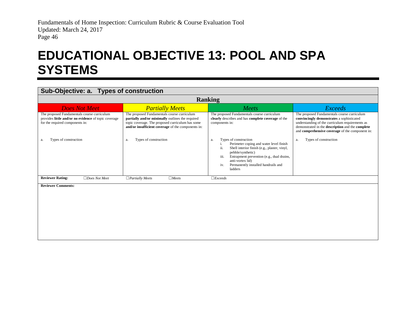### **EDUCATIONAL OBJECTIVE 13: POOL AND SPA SYSTEMS**

#### **Sub-Objective: a. Types of construction**

<span id="page-47-0"></span>

| <b>Ranking</b>                                                                                                                         |                                                                                                                                                                                                           |                                                                                                                                                                                                                                                                                      |                                                                                                                                                                                                                                                    |  |
|----------------------------------------------------------------------------------------------------------------------------------------|-----------------------------------------------------------------------------------------------------------------------------------------------------------------------------------------------------------|--------------------------------------------------------------------------------------------------------------------------------------------------------------------------------------------------------------------------------------------------------------------------------------|----------------------------------------------------------------------------------------------------------------------------------------------------------------------------------------------------------------------------------------------------|--|
| <b>Does Not Meet</b>                                                                                                                   | <b>Partially Meets</b>                                                                                                                                                                                    | Meets                                                                                                                                                                                                                                                                                | Exceeds                                                                                                                                                                                                                                            |  |
| The proposed Fundamentals course curriculum<br>provides little and/or no evidence of topic coverage<br>for the required components in: | The proposed Fundamentals course curriculum<br>partially and/or minimally outlines the required<br>topic coverage. The proposed curriculum has some<br>and/or insufficient coverage of the components in: | The proposed Fundamentals course curriculum<br>clearly describes and has complete coverage of the<br>components in:                                                                                                                                                                  | The proposed Fundamentals course curriculum<br>convincingly demonstrates a sophisticated<br>understanding of the curriculum requirements as<br>demonstrated in the description and the complete<br>and comprehensive coverage of the component in: |  |
| Types of construction<br>a.                                                                                                            | Types of construction<br>a.                                                                                                                                                                               | Types of construction<br>a.<br>Perimeter coping and water level finish<br>Shell interior finish (e.g., plaster, vinyl,<br>11.<br>pebble/synthetic)<br>iii.<br>Entrapment prevention (e.g., dual drains,<br>anti-vortex lid)<br>Permanently installed handrails and<br>iv.<br>ladders | Types of construction<br>a.                                                                                                                                                                                                                        |  |
| <b>Reviewer Rating:</b><br>$\Box$ Does Not Meet                                                                                        | $\Box$ Meets<br>$\Box$ Partially Meets                                                                                                                                                                    | $\Box$ <i>Exceeds</i>                                                                                                                                                                                                                                                                |                                                                                                                                                                                                                                                    |  |
| <b>Reviewer Comments:</b>                                                                                                              |                                                                                                                                                                                                           |                                                                                                                                                                                                                                                                                      |                                                                                                                                                                                                                                                    |  |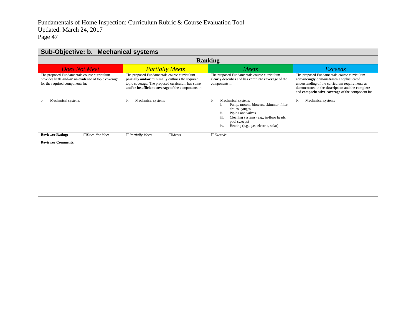| Sub-Objective: b. Mechanical systems                                                                                                   |                                                                                                                                                                                                           |                                                                                                                                                                                                                                           |                                                                                                                                                                                                                                                    |
|----------------------------------------------------------------------------------------------------------------------------------------|-----------------------------------------------------------------------------------------------------------------------------------------------------------------------------------------------------------|-------------------------------------------------------------------------------------------------------------------------------------------------------------------------------------------------------------------------------------------|----------------------------------------------------------------------------------------------------------------------------------------------------------------------------------------------------------------------------------------------------|
| <b>Ranking</b>                                                                                                                         |                                                                                                                                                                                                           |                                                                                                                                                                                                                                           |                                                                                                                                                                                                                                                    |
| <b>Does Not Meet</b>                                                                                                                   | <b>Partially Meets</b>                                                                                                                                                                                    | Meets                                                                                                                                                                                                                                     | <b>Exceeds</b>                                                                                                                                                                                                                                     |
| The proposed Fundamentals course curriculum<br>provides little and/or no evidence of topic coverage<br>for the required components in: | The proposed Fundamentals course curriculum<br>partially and/or minimally outlines the required<br>topic coverage. The proposed curriculum has some<br>and/or insufficient coverage of the components in: | The proposed Fundamentals course curriculum<br>clearly describes and has complete coverage of the<br>components in:                                                                                                                       | The proposed Fundamentals course curriculum<br>convincingly demonstrates a sophisticated<br>understanding of the curriculum requirements as<br>demonstrated in the description and the complete<br>and comprehensive coverage of the component in: |
| Mechanical systems<br>b.                                                                                                               | Mechanical systems<br>b.                                                                                                                                                                                  | Mechanical systems<br>b.<br>Pump, motors, blowers, skimmer, filter,<br>1.<br>drains, gauges<br>ii.<br>Piping and valves<br>iii.<br>Cleaning systems (e.g., in-floor heads,<br>pool sweeps)<br>iv.<br>Heating (e.g., gas, electric, solar) | Mechanical systems<br>b.                                                                                                                                                                                                                           |
| <b>Reviewer Rating:</b><br>$\Box$ Does Not Meet                                                                                        | $\Box$ Meets<br>$\Box$ Partially Meets                                                                                                                                                                    | $\Box$ <i>Exceeds</i>                                                                                                                                                                                                                     |                                                                                                                                                                                                                                                    |
| <b>Reviewer Comments:</b>                                                                                                              |                                                                                                                                                                                                           |                                                                                                                                                                                                                                           |                                                                                                                                                                                                                                                    |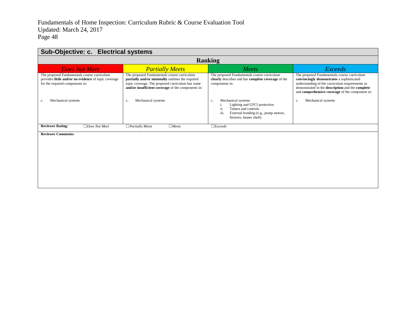| Sub-Objective: c. Electrical systems                                                                                                   |                                                                                                                                                                                                           |                                                                                                                                                                  |                                                                                                                                                                                                                                                    |
|----------------------------------------------------------------------------------------------------------------------------------------|-----------------------------------------------------------------------------------------------------------------------------------------------------------------------------------------------------------|------------------------------------------------------------------------------------------------------------------------------------------------------------------|----------------------------------------------------------------------------------------------------------------------------------------------------------------------------------------------------------------------------------------------------|
| <b>Ranking</b>                                                                                                                         |                                                                                                                                                                                                           |                                                                                                                                                                  |                                                                                                                                                                                                                                                    |
| <b>Does Not Meet</b>                                                                                                                   | <b>Partially Meets</b>                                                                                                                                                                                    | Meets                                                                                                                                                            | <b>Exceeds</b>                                                                                                                                                                                                                                     |
| The proposed Fundamentals course curriculum<br>provides little and/or no evidence of topic coverage<br>for the required components in: | The proposed Fundamentals course curriculum<br>partially and/or minimally outlines the required<br>topic coverage. The proposed curriculum has some<br>and/or insufficient coverage of the components in: | The proposed Fundamentals course curriculum<br>clearly describes and has complete coverage of the<br>components in:                                              | The proposed Fundamentals course curriculum<br>convincingly demonstrates a sophisticated<br>understanding of the curriculum requirements as<br>demonstrated in the description and the complete<br>and comprehensive coverage of the component in: |
| Mechanical systems<br>c.                                                                                                               | Mechanical systems<br>c.                                                                                                                                                                                  | Mechanical systems<br>c.<br>Lighting and GFCI protection<br>ii.<br>Timers and controls<br>External bonding (e.g., pump motors,<br>111.<br>blowers, heater shell) | Mechanical systems<br>c.                                                                                                                                                                                                                           |
| <b>Reviewer Rating:</b><br>$\Box$ Does Not Meet                                                                                        | $\Box$ Partially Meets<br>$\Box$ Meets                                                                                                                                                                    | $\Box$ <i>Exceeds</i>                                                                                                                                            |                                                                                                                                                                                                                                                    |
| <b>Reviewer Comments:</b>                                                                                                              |                                                                                                                                                                                                           |                                                                                                                                                                  |                                                                                                                                                                                                                                                    |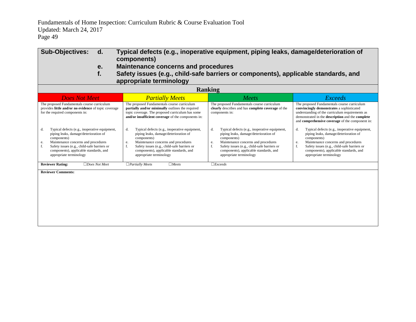| <b>Sub-Objectives:</b><br>d.<br>Typical defects (e.g., inoperative equipment, piping leaks, damage/deterioration of<br>components)                                                                                                                                                 |                                                                                                                                                                                                                                                                                    |                                                                                                                                                                                                                                                                                    |                                                                                                                                                                                                                                                                              |  |
|------------------------------------------------------------------------------------------------------------------------------------------------------------------------------------------------------------------------------------------------------------------------------------|------------------------------------------------------------------------------------------------------------------------------------------------------------------------------------------------------------------------------------------------------------------------------------|------------------------------------------------------------------------------------------------------------------------------------------------------------------------------------------------------------------------------------------------------------------------------------|------------------------------------------------------------------------------------------------------------------------------------------------------------------------------------------------------------------------------------------------------------------------------|--|
|                                                                                                                                                                                                                                                                                    | <b>Maintenance concerns and procedures</b><br>e.                                                                                                                                                                                                                                   |                                                                                                                                                                                                                                                                                    |                                                                                                                                                                                                                                                                              |  |
| f.                                                                                                                                                                                                                                                                                 | Safety issues (e.g., child-safe barriers or components), applicable standards, and                                                                                                                                                                                                 |                                                                                                                                                                                                                                                                                    |                                                                                                                                                                                                                                                                              |  |
|                                                                                                                                                                                                                                                                                    | appropriate terminology                                                                                                                                                                                                                                                            |                                                                                                                                                                                                                                                                                    |                                                                                                                                                                                                                                                                              |  |
|                                                                                                                                                                                                                                                                                    |                                                                                                                                                                                                                                                                                    | <b>Ranking</b>                                                                                                                                                                                                                                                                     |                                                                                                                                                                                                                                                                              |  |
| <b>Does Not Meet</b>                                                                                                                                                                                                                                                               | <b>Partially Meets</b>                                                                                                                                                                                                                                                             | Meets                                                                                                                                                                                                                                                                              | <b>Exceeds</b>                                                                                                                                                                                                                                                               |  |
| The proposed Fundamentals course curriculum<br>provides little and/or no evidence of topic coverage<br>for the required components in:                                                                                                                                             | The proposed Fundamentals course curriculum<br>partially and/or minimally outlines the required<br>topic coverage. The proposed curriculum has some<br>and/or insufficient coverage of the components in:                                                                          | The proposed Fundamentals course curriculum<br>clearly describes and has complete coverage of the<br>components in:                                                                                                                                                                | The proposed Fundamentals course curriculum<br>convincingly demonstrates a sophisticated<br>understanding of the curriculum requirements as<br>demonstrated in the description and the complete<br>and comprehensive coverage of the component in:                           |  |
| Typical defects (e.g., inoperative equipment,<br>d.<br>piping leaks, damage/deterioration of<br>components)<br>Maintenance concerns and procedures<br>e.<br>f.<br>Safety issues (e.g., child-safe barriers or<br>components), applicable standards, and<br>appropriate terminology | d.<br>Typical defects (e.g., inoperative equipment,<br>piping leaks, damage/deterioration of<br>components)<br>Maintenance concerns and procedures<br>e.<br>f.<br>Safety issues (e.g., child-safe barriers or<br>components), applicable standards, and<br>appropriate terminology | d.<br>Typical defects (e.g., inoperative equipment,<br>piping leaks, damage/deterioration of<br>components)<br>Maintenance concerns and procedures<br>e.<br>f.<br>Safety issues (e.g., child-safe barriers or<br>components), applicable standards, and<br>appropriate terminology | Typical defects (e.g., inoperative equipment,<br>d.<br>piping leaks, damage/deterioration of<br>components)<br>Maintenance concerns and procedures<br>e.<br>Safety issues (e.g., child-safe barriers or<br>components), applicable standards, and<br>appropriate terminology |  |
| <b>Reviewer Rating:</b><br>$\Box$ Does Not Meet                                                                                                                                                                                                                                    | $\Box$ Partially Meets<br>$\Box$ Meets                                                                                                                                                                                                                                             | $\Box$ <i>Exceeds</i>                                                                                                                                                                                                                                                              |                                                                                                                                                                                                                                                                              |  |
| <b>Reviewer Comments:</b>                                                                                                                                                                                                                                                          |                                                                                                                                                                                                                                                                                    |                                                                                                                                                                                                                                                                                    |                                                                                                                                                                                                                                                                              |  |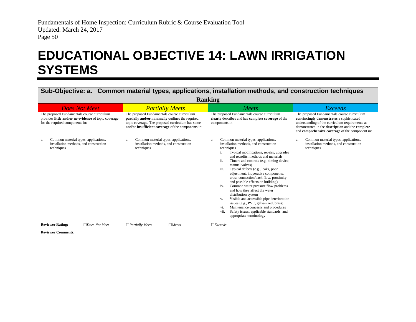### **EDUCATIONAL OBJECTIVE 14: LAWN IRRIGATION SYSTEMS**

<span id="page-51-0"></span>

| Sub-Objective: a. Common material types, applications, installation methods, and construction techniques                               |                                                                                                                                                                                                           |                                                                                                                                                                                                                                                                                                                                                                                                                                                                                                                                                                                                                                                                                                                                                                      |                                                                                                                                                                                                                                                    |
|----------------------------------------------------------------------------------------------------------------------------------------|-----------------------------------------------------------------------------------------------------------------------------------------------------------------------------------------------------------|----------------------------------------------------------------------------------------------------------------------------------------------------------------------------------------------------------------------------------------------------------------------------------------------------------------------------------------------------------------------------------------------------------------------------------------------------------------------------------------------------------------------------------------------------------------------------------------------------------------------------------------------------------------------------------------------------------------------------------------------------------------------|----------------------------------------------------------------------------------------------------------------------------------------------------------------------------------------------------------------------------------------------------|
| <b>Ranking</b>                                                                                                                         |                                                                                                                                                                                                           |                                                                                                                                                                                                                                                                                                                                                                                                                                                                                                                                                                                                                                                                                                                                                                      |                                                                                                                                                                                                                                                    |
| <b>Does Not Meet</b>                                                                                                                   | <b>Partially Meets</b>                                                                                                                                                                                    | Meets                                                                                                                                                                                                                                                                                                                                                                                                                                                                                                                                                                                                                                                                                                                                                                | <b>Exceeds</b>                                                                                                                                                                                                                                     |
| The proposed Fundamentals course curriculum<br>provides little and/or no evidence of topic coverage<br>for the required components in: | The proposed Fundamentals course curriculum<br>partially and/or minimally outlines the required<br>topic coverage. The proposed curriculum has some<br>and/or insufficient coverage of the components in: | The proposed Fundamentals course curriculum<br>clearly describes and has complete coverage of the<br>components in:                                                                                                                                                                                                                                                                                                                                                                                                                                                                                                                                                                                                                                                  | The proposed Fundamentals course curriculum<br>convincingly demonstrates a sophisticated<br>understanding of the curriculum requirements as<br>demonstrated in the description and the complete<br>and comprehensive coverage of the component in: |
| Common material types, applications,<br>a.<br>installation methods, and construction<br>techniques                                     | Common material types, applications,<br>a.<br>installation methods, and construction<br>techniques                                                                                                        | Common material types, applications,<br>a.<br>installation methods, and construction<br>techniques<br>Typical modifications, repairs, upgrades<br>i.<br>and retrofits, methods and materials<br>Timers and controls (e.g., timing device,<br>ii.<br>manual valves)<br>Typical defects (e.g., leaks, poor<br>iii.<br>adjustment, inoperative components,<br>cross-connection/back flow, proximity<br>and possible effects on building)<br>Common water pressure/flow problems<br>iv.<br>and how they affect the water<br>distribution system<br>Visible and accessible pipe deterioration<br>V.<br>issues (e.g., PVC, galvanized, brass)<br>Maintenance concerns and procedures<br>vi.<br>Safety issues, applicable standards, and<br>vii.<br>appropriate terminology | Common material types, applications,<br>a.<br>installation methods, and construction<br>techniques                                                                                                                                                 |
| <b>Reviewer Rating:</b><br>$\Box$ Does Not Meet                                                                                        | $\Box$ Partially Meets<br>$\Box$ Meets                                                                                                                                                                    | $\Box$ <i>Exceeds</i>                                                                                                                                                                                                                                                                                                                                                                                                                                                                                                                                                                                                                                                                                                                                                |                                                                                                                                                                                                                                                    |
| <b>Reviewer Comments:</b>                                                                                                              |                                                                                                                                                                                                           |                                                                                                                                                                                                                                                                                                                                                                                                                                                                                                                                                                                                                                                                                                                                                                      |                                                                                                                                                                                                                                                    |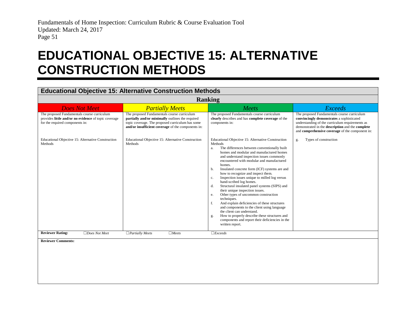### **EDUCATIONAL OBJECTIVE 15: ALTERNATIVE CONSTRUCTION METHODS**

#### **Educational Objective 15: Alternative Construction Methods**

<span id="page-52-0"></span>

| <b>Ranking</b>                                                                                                                         |                                                                                                                                                                                                           |                                                                                                                                                                                                                                                                                                                                                                                                                                                                                                                                                                                                                                                                                                                                                                                                                                                                           |                                                                                                                                                                                                                                                    |
|----------------------------------------------------------------------------------------------------------------------------------------|-----------------------------------------------------------------------------------------------------------------------------------------------------------------------------------------------------------|---------------------------------------------------------------------------------------------------------------------------------------------------------------------------------------------------------------------------------------------------------------------------------------------------------------------------------------------------------------------------------------------------------------------------------------------------------------------------------------------------------------------------------------------------------------------------------------------------------------------------------------------------------------------------------------------------------------------------------------------------------------------------------------------------------------------------------------------------------------------------|----------------------------------------------------------------------------------------------------------------------------------------------------------------------------------------------------------------------------------------------------|
| <b>Does Not Meet</b>                                                                                                                   | <b>Partially Meets</b>                                                                                                                                                                                    | Meets                                                                                                                                                                                                                                                                                                                                                                                                                                                                                                                                                                                                                                                                                                                                                                                                                                                                     | <b>Exceeds</b>                                                                                                                                                                                                                                     |
| The proposed Fundamentals course curriculum<br>provides little and/or no evidence of topic coverage<br>for the required components in: | The proposed Fundamentals course curriculum<br>partially and/or minimally outlines the required<br>topic coverage. The proposed curriculum has some<br>and/or insufficient coverage of the components in: | The proposed Fundamentals course curriculum<br>clearly describes and has complete coverage of the<br>components in:                                                                                                                                                                                                                                                                                                                                                                                                                                                                                                                                                                                                                                                                                                                                                       | The proposed Fundamentals course curriculum<br>convincingly demonstrates a sophisticated<br>understanding of the curriculum requirements as<br>demonstrated in the description and the complete<br>and comprehensive coverage of the component in: |
| Educational Objective 15: Alternative Construction<br>Methods                                                                          | Educational Objective 15: Alternative Construction<br>Methods                                                                                                                                             | Educational Objective 15: Alternative Construction<br>Methods<br>The differences between conventionally built<br>a.<br>homes and modular and manufactured homes<br>and understand inspection issues commonly<br>encountered with modular and manufactured<br>homes.<br>Insulated concrete form (ICF) systems are and<br>b.<br>how to recognize and inspect them.<br>Inspection issues unique to milled log versus<br>c.<br>hand-scribed log homes.<br>Structural insulated panel systems (SIPS) and<br>d.<br>their unique inspection issues.<br>Other types of uncommon construction<br>e.<br>techniques.<br>And explain deficiencies of these structures<br>f.<br>and components to the client using language<br>the client can understand.<br>How to properly describe these structures and<br>g.<br>components and report their deficiencies in the<br>written report. | Types of construction<br>g.                                                                                                                                                                                                                        |
| <b>Reviewer Rating:</b><br>$\Box$ Does Not Meet                                                                                        | $\Box$ Partially Meets<br>$\Box$ Meets                                                                                                                                                                    | $\Box$ <i>Exceeds</i>                                                                                                                                                                                                                                                                                                                                                                                                                                                                                                                                                                                                                                                                                                                                                                                                                                                     |                                                                                                                                                                                                                                                    |
| <b>Reviewer Comments:</b>                                                                                                              |                                                                                                                                                                                                           |                                                                                                                                                                                                                                                                                                                                                                                                                                                                                                                                                                                                                                                                                                                                                                                                                                                                           |                                                                                                                                                                                                                                                    |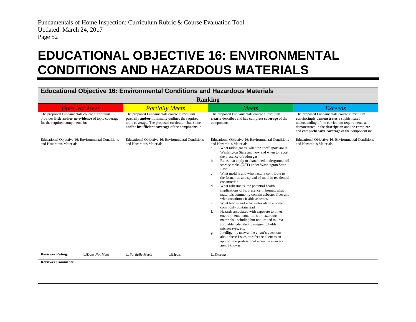### **EDUCATIONAL OBJECTIVE 16: ENVIRONMENTAL CONDITIONS AND HAZARDOUS MATERIALS**

#### **Educational Objective 16: Environmental Conditions and Hazardous Materials**

<span id="page-53-0"></span>

| <b>Ranking</b>                                                                                                                         |                                                                                                                                                                                                           |                                                                                                                                                                                                                                                                                                                                                                                                                                                                                                                                                                                                                                                                                                                                                                                                                                                                                                                                                                                                                                                                                                                  |                                                                                                                                                                                                                                                    |
|----------------------------------------------------------------------------------------------------------------------------------------|-----------------------------------------------------------------------------------------------------------------------------------------------------------------------------------------------------------|------------------------------------------------------------------------------------------------------------------------------------------------------------------------------------------------------------------------------------------------------------------------------------------------------------------------------------------------------------------------------------------------------------------------------------------------------------------------------------------------------------------------------------------------------------------------------------------------------------------------------------------------------------------------------------------------------------------------------------------------------------------------------------------------------------------------------------------------------------------------------------------------------------------------------------------------------------------------------------------------------------------------------------------------------------------------------------------------------------------|----------------------------------------------------------------------------------------------------------------------------------------------------------------------------------------------------------------------------------------------------|
| <b>Does Not Meet</b>                                                                                                                   | <b>Partially Meets</b>                                                                                                                                                                                    | Meets                                                                                                                                                                                                                                                                                                                                                                                                                                                                                                                                                                                                                                                                                                                                                                                                                                                                                                                                                                                                                                                                                                            | <b>Exceeds</b>                                                                                                                                                                                                                                     |
| The proposed Fundamentals course curriculum<br>provides little and/or no evidence of topic coverage<br>for the required components in: | The proposed Fundamentals course curriculum<br>partially and/or minimally outlines the required<br>topic coverage. The proposed curriculum has some<br>and/or insufficient coverage of the components in: | The proposed Fundamentals course curriculum<br>clearly describes and has complete coverage of the<br>components in:                                                                                                                                                                                                                                                                                                                                                                                                                                                                                                                                                                                                                                                                                                                                                                                                                                                                                                                                                                                              | The proposed Fundamentals course curriculum<br>convincingly demonstrates a sophisticated<br>understanding of the curriculum requirements as<br>demonstrated in the description and the complete<br>and comprehensive coverage of the component in: |
| Educational Objective 16: Environmental Conditions<br>and Hazardous Materials                                                          | Educational Objective 16: Environmental Conditions<br>and Hazardous Materials                                                                                                                             | Educational Objective 16: Environmental Conditions<br>and Hazardous Materials<br>What radon gas is, what the "hot" spots are in<br>a.<br>Washington State and how and when to report<br>the presence of radon gas.<br>Rules that apply to abandoned underground oil<br>b.<br>storage tanks (UST) under Washington State<br>Law.<br>What mold is and what factors contribute to<br>$c_{\cdot}$<br>the formation and spread of mold in residential<br>construction.<br>What asbestos is, the potential health<br>d.<br>implications of its presence in homes, what<br>materials commonly contain asbestos fiber and<br>what constitutes friable asbestos.<br>What lead is and what materials in a home<br>e.<br>commonly contain lead.<br>Hazards associated with exposure to other<br>f.<br>environmental conditions or hazardous<br>materials, including but not limited to urea<br>formaldehyde, electro-magnetic fields<br>microwaves, etc.<br>Intelligently answer the client's questions<br>g.<br>about these issues or refer the client to an<br>appropriate professional when the answers<br>aren't known. | Educational Objective 16: Environmental Conditions<br>and Hazardous Materials                                                                                                                                                                      |
| <b>Reviewer Rating:</b><br>$\Box$ Does Not Meet                                                                                        | $\Box$ Partially Meets<br>$\Box$ Meets                                                                                                                                                                    | $\Box$ <i>Exceeds</i>                                                                                                                                                                                                                                                                                                                                                                                                                                                                                                                                                                                                                                                                                                                                                                                                                                                                                                                                                                                                                                                                                            |                                                                                                                                                                                                                                                    |
| <b>Reviewer Comments:</b>                                                                                                              |                                                                                                                                                                                                           |                                                                                                                                                                                                                                                                                                                                                                                                                                                                                                                                                                                                                                                                                                                                                                                                                                                                                                                                                                                                                                                                                                                  |                                                                                                                                                                                                                                                    |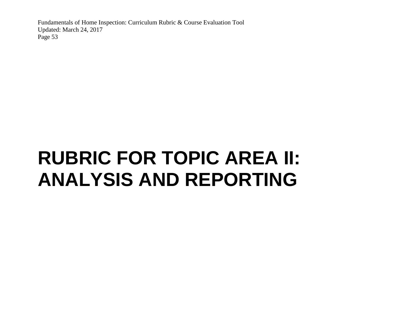# <span id="page-54-0"></span>**RUBRIC FOR TOPIC AREA II: ANALYSIS AND REPORTING**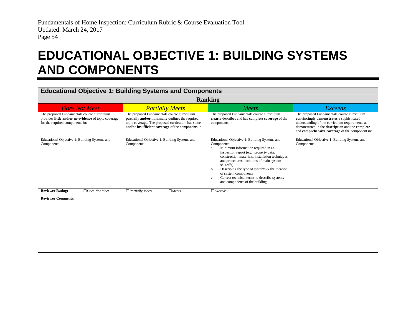### **EDUCATIONAL OBJECTIVE 1: BUILDING SYSTEMS AND COMPONENTS**

#### **Educational Objective 1: Building Systems and Components**

<span id="page-55-0"></span>

| <b>Ranking</b>                                                                                                                         |                                                                                                                                                                                                           |                                                                                                                                                                                                                                                                                                                                                                                                                                   |                                                                                                                                                                                                                                                    |  |
|----------------------------------------------------------------------------------------------------------------------------------------|-----------------------------------------------------------------------------------------------------------------------------------------------------------------------------------------------------------|-----------------------------------------------------------------------------------------------------------------------------------------------------------------------------------------------------------------------------------------------------------------------------------------------------------------------------------------------------------------------------------------------------------------------------------|----------------------------------------------------------------------------------------------------------------------------------------------------------------------------------------------------------------------------------------------------|--|
| <b>Does Not Meet</b>                                                                                                                   | <b>Partially Meets</b>                                                                                                                                                                                    | <b>Meets</b>                                                                                                                                                                                                                                                                                                                                                                                                                      | Exceeds                                                                                                                                                                                                                                            |  |
| The proposed Fundamentals course curriculum<br>provides little and/or no evidence of topic coverage<br>for the required components in: | The proposed Fundamentals course curriculum<br>partially and/or minimally outlines the required<br>topic coverage. The proposed curriculum has some<br>and/or insufficient coverage of the components in: | The proposed Fundamentals course curriculum<br>clearly describes and has complete coverage of the<br>components in:                                                                                                                                                                                                                                                                                                               | The proposed Fundamentals course curriculum<br>convincingly demonstrates a sophisticated<br>understanding of the curriculum requirements as<br>demonstrated in the description and the complete<br>and comprehensive coverage of the component in: |  |
| Educational Objective 1: Building Systems and<br>Components                                                                            | Educational Objective 1: Building Systems and<br>Components                                                                                                                                               | Educational Objective 1: Building Systems and<br>Components<br>Minimum information required in an<br>a.<br>inspection report (e.g., property data,<br>construction materials, installation techniques<br>and procedures, locations of main system<br>shutoffs)<br>Describing the type of systems $\&$ the location<br>b.<br>of system components<br>Correct technical terms to describe systems<br>and components of the building | Educational Objective 1: Building Systems and<br>Components                                                                                                                                                                                        |  |
| <b>Reviewer Rating:</b><br>$\Box$ Does Not Meet                                                                                        | $\Box$ Partially Meets<br>$\Box$ Meets                                                                                                                                                                    | $\Box$ <i>Exceeds</i>                                                                                                                                                                                                                                                                                                                                                                                                             |                                                                                                                                                                                                                                                    |  |
| <b>Reviewer Comments:</b>                                                                                                              |                                                                                                                                                                                                           |                                                                                                                                                                                                                                                                                                                                                                                                                                   |                                                                                                                                                                                                                                                    |  |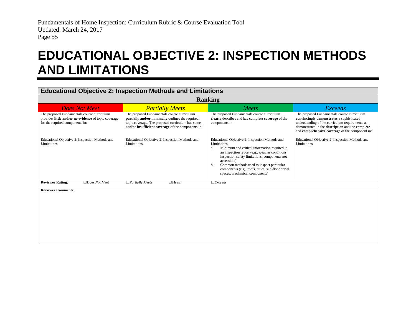### **EDUCATIONAL OBJECTIVE 2: INSPECTION METHODS AND LIMITATIONS**

#### <span id="page-56-0"></span>**Educational Objective 2: Inspection Methods and Limitations Ranking** *Does Not Meet Partially Meets Meets Exceeds* The proposed Fundamentals course curriculum provides **little and/or no evidence** of topic coverage for the required components in: The proposed Fundamentals course curriculum **partially and/or minimally** outlines the required topic coverage. The proposed curriculum has some **and/or insufficient coverage** of the components in: The proposed Fundamentals course curriculum **clearly** describes and has **complete coverage** of the components in: The proposed Fundamentals course curriculum **convincingly demonstrates** a sophisticated understanding of the curriculum requirements as demonstrated in the **description** and the **complete** and **comprehensive coverage** of the component in: Educational Objective 2: Inspection Methods and Limitations Educational Objective 2: Inspection Methods and Limitations Educational Objective 2: Inspection Methods and Limitations a. Minimum and critical information required in an inspection report (e.g., weather conditions, inspection safety limitations, components not accessible) b. Common methods used to inspect particular components (e.g., roofs, attics, sub-floor crawl spaces, mechanical components) Educational Objective 2: Inspection Methods and Limitations **Reviewer Rating:** ☐*Does Not Meet* ☐*Partially Meets* ☐*Meets* ☐*Exceeds* **Reviewer Comments:**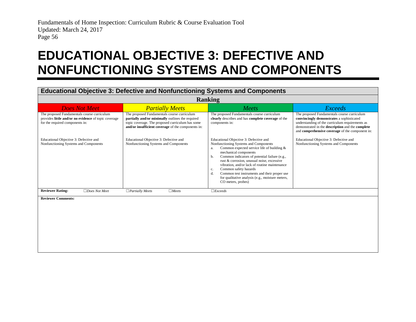### **EDUCATIONAL OBJECTIVE 3: DEFECTIVE AND NONFUNCTIONING SYSTEMS AND COMPONENTS**

#### **Educational Objective 3: Defective and Nonfunctioning Systems and Components**

<span id="page-57-0"></span>

| <b>Ranking</b>                                                                                                                         |                                                                                                                                                                                                           |                                                                                                                                                                                                                                                                                                                                                                                                                                                                                      |                                                                                                                                                                                                                                                    |
|----------------------------------------------------------------------------------------------------------------------------------------|-----------------------------------------------------------------------------------------------------------------------------------------------------------------------------------------------------------|--------------------------------------------------------------------------------------------------------------------------------------------------------------------------------------------------------------------------------------------------------------------------------------------------------------------------------------------------------------------------------------------------------------------------------------------------------------------------------------|----------------------------------------------------------------------------------------------------------------------------------------------------------------------------------------------------------------------------------------------------|
| <b>Does Not Meet</b>                                                                                                                   | <b>Partially Meets</b>                                                                                                                                                                                    | <b>Meets</b>                                                                                                                                                                                                                                                                                                                                                                                                                                                                         | Exceeds                                                                                                                                                                                                                                            |
| The proposed Fundamentals course curriculum<br>provides little and/or no evidence of topic coverage<br>for the required components in: | The proposed Fundamentals course curriculum<br>partially and/or minimally outlines the required<br>topic coverage. The proposed curriculum has some<br>and/or insufficient coverage of the components in: | The proposed Fundamentals course curriculum<br>clearly describes and has complete coverage of the<br>components in:                                                                                                                                                                                                                                                                                                                                                                  | The proposed Fundamentals course curriculum<br>convincingly demonstrates a sophisticated<br>understanding of the curriculum requirements as<br>demonstrated in the description and the complete<br>and comprehensive coverage of the component in: |
| Educational Objective 3: Defective and<br>Nonfunctioning Systems and Components                                                        | Educational Objective 3: Defective and<br>Nonfunctioning Systems and Components                                                                                                                           | Educational Objective 3: Defective and<br>Nonfunctioning Systems and Components<br>Common expected service life of building $\&$<br>a.<br>mechanical components<br>Common indicators of potential failure (e.g.,<br>b.<br>rust & corrosion, unusual noise, excessive<br>vibration, and/or lack of routine maintenance<br>Common safety hazards<br>c.<br>Common test instruments and their proper use<br>d.<br>for qualitative analysis (e.g., moisture meters,<br>CO meters, probes) | Educational Objective 3: Defective and<br>Nonfunctioning Systems and Components                                                                                                                                                                    |
| <b>Reviewer Rating:</b><br>$\Box$ Does Not Meet                                                                                        | $\Box$ Partially Meets<br>$\Box$ Meets                                                                                                                                                                    | $\Box$ <i>Exceeds</i>                                                                                                                                                                                                                                                                                                                                                                                                                                                                |                                                                                                                                                                                                                                                    |
| <b>Reviewer Comments:</b>                                                                                                              |                                                                                                                                                                                                           |                                                                                                                                                                                                                                                                                                                                                                                                                                                                                      |                                                                                                                                                                                                                                                    |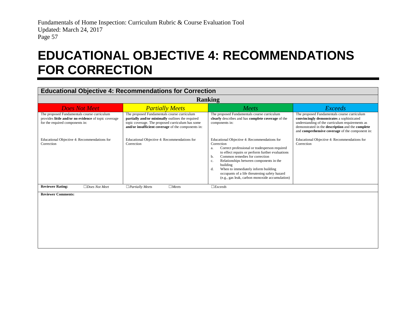### **EDUCATIONAL OBJECTIVE 4: RECOMMENDATIONS FOR CORRECTION**

#### **Educational Objective 4: Recommendations for Correction**

<span id="page-58-0"></span>

| <b>Ranking</b>                                                                                                                         |                                                                                                                                                                                                           |                                                                                                                                                                                                                                                                                                                                                                                                                            |                                                                                                                                                                                                                                                    |
|----------------------------------------------------------------------------------------------------------------------------------------|-----------------------------------------------------------------------------------------------------------------------------------------------------------------------------------------------------------|----------------------------------------------------------------------------------------------------------------------------------------------------------------------------------------------------------------------------------------------------------------------------------------------------------------------------------------------------------------------------------------------------------------------------|----------------------------------------------------------------------------------------------------------------------------------------------------------------------------------------------------------------------------------------------------|
| <b>Does Not Meet</b>                                                                                                                   | <b>Partially Meets</b>                                                                                                                                                                                    | <b>Meets</b>                                                                                                                                                                                                                                                                                                                                                                                                               | <b>Exceeds</b>                                                                                                                                                                                                                                     |
| The proposed Fundamentals course curriculum<br>provides little and/or no evidence of topic coverage<br>for the required components in: | The proposed Fundamentals course curriculum<br>partially and/or minimally outlines the required<br>topic coverage. The proposed curriculum has some<br>and/or insufficient coverage of the components in: | The proposed Fundamentals course curriculum<br>clearly describes and has complete coverage of the<br>components in:                                                                                                                                                                                                                                                                                                        | The proposed Fundamentals course curriculum<br>convincingly demonstrates a sophisticated<br>understanding of the curriculum requirements as<br>demonstrated in the description and the complete<br>and comprehensive coverage of the component in: |
| Educational Objective 4: Recommendations for<br>Correction                                                                             | Educational Objective 4: Recommendations for<br>Correction                                                                                                                                                | Educational Objective 4: Recommendations for<br>Correction<br>Correct professional or tradesperson required<br>a.<br>to effect repairs or perform further evaluations<br>Common remedies for correction<br>b.<br>Relationships between components in the<br>c.<br>building<br>When to immediately inform building<br>d.<br>occupants of a life threatening safety hazard<br>(e.g., gas leak, carbon monoxide accumulation) | Educational Objective 4: Recommendations for<br>Correction                                                                                                                                                                                         |
| <b>Reviewer Rating:</b><br>$\Box$ Does Not Meet<br>.                                                                                   | $\Box$ Partially Meets<br>$\Box$ Meets                                                                                                                                                                    | $\Box$ <i>Exceeds</i>                                                                                                                                                                                                                                                                                                                                                                                                      |                                                                                                                                                                                                                                                    |

**Reviewer Comments:**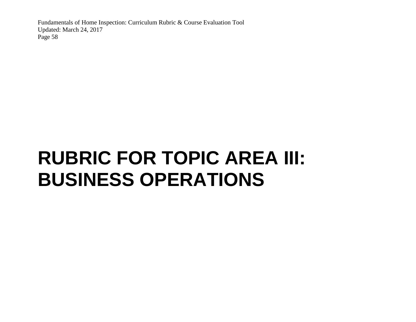# <span id="page-59-0"></span>**RUBRIC FOR TOPIC AREA III: BUSINESS OPERATIONS**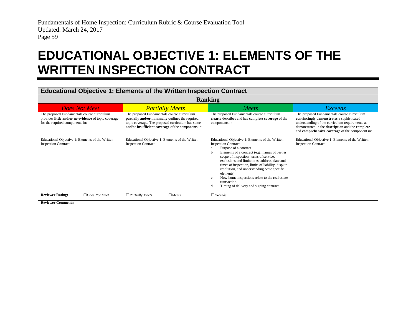### **EDUCATIONAL OBJECTIVE 1: ELEMENTS OF THE WRITTEN INSPECTION CONTRACT**

#### <span id="page-60-0"></span>**Educational Objective 1: Elements of the Written Inspection Contract Ranking** *Does Not Meet Partially Meets Meets Exceeds* The proposed Fundamentals course curriculum provides **little and/or no evidence** of topic coverage for the required components in: The proposed Fundamentals course curriculum **partially and/or minimally** outlines the required topic coverage. The proposed curriculum has some **and/or insufficient coverage** of the components in: The proposed Fundamentals course curriculum **clearly** describes and has **complete coverage** of the components in: The proposed Fundamentals course curriculum **convincingly demonstrates** a sophisticated understanding of the curriculum requirements as demonstrated in the **description** and the **complete** and **comprehensive coverage** of the component in: Educational Objective 1: Elements of the Written Inspection Contract Educational Objective 1: Elements of the Written Inspection Contract Educational Objective 1: Elements of the Written Inspection Contract a. Purpose of a contract b. Elements of a contract (e.g., names of parties, scope of inspection, terms of service, exclusions and limitations, address, date and times of inspection, limits of liability, dispute resolution, and understanding State specific elements) c. How home inspections relate to the real estate transaction. d. Timing of delivery and signing contract Educational Objective 1: Elements of the Written Inspection Contract **Reviewer Rating:** ☐*Does Not Meet* ☐*Partially Meets* ☐*Meets* ☐*Exceeds* **Reviewer Comments:**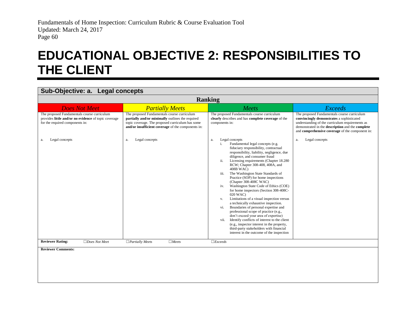### **EDUCATIONAL OBJECTIVE 2: RESPONSIBILITIES TO THE CLIENT**

#### **Sub-Objective: a. Legal concepts**

<span id="page-61-0"></span>

| <b>Ranking</b>                                                                                                                         |                                                                                                                                                                                                           |                                                                                                                                                                                                                                                                                                                                                                                                                                                                                                                                                                                                                                                                                                                                                                                                                                                                                                                                      |                                                                                                                                                                                                                                                    |
|----------------------------------------------------------------------------------------------------------------------------------------|-----------------------------------------------------------------------------------------------------------------------------------------------------------------------------------------------------------|--------------------------------------------------------------------------------------------------------------------------------------------------------------------------------------------------------------------------------------------------------------------------------------------------------------------------------------------------------------------------------------------------------------------------------------------------------------------------------------------------------------------------------------------------------------------------------------------------------------------------------------------------------------------------------------------------------------------------------------------------------------------------------------------------------------------------------------------------------------------------------------------------------------------------------------|----------------------------------------------------------------------------------------------------------------------------------------------------------------------------------------------------------------------------------------------------|
| <b>Does Not Meet</b>                                                                                                                   | <b>Partially Meets</b>                                                                                                                                                                                    | Meets                                                                                                                                                                                                                                                                                                                                                                                                                                                                                                                                                                                                                                                                                                                                                                                                                                                                                                                                | <b>Exceeds</b>                                                                                                                                                                                                                                     |
| The proposed Fundamentals course curriculum<br>provides little and/or no evidence of topic coverage<br>for the required components in: | The proposed Fundamentals course curriculum<br>partially and/or minimally outlines the required<br>topic coverage. The proposed curriculum has some<br>and/or insufficient coverage of the components in: | The proposed Fundamentals course curriculum<br>clearly describes and has complete coverage of the<br>components in:                                                                                                                                                                                                                                                                                                                                                                                                                                                                                                                                                                                                                                                                                                                                                                                                                  | The proposed Fundamentals course curriculum<br>convincingly demonstrates a sophisticated<br>understanding of the curriculum requirements as<br>demonstrated in the description and the complete<br>and comprehensive coverage of the component in: |
| Legal concepts<br>a.                                                                                                                   | Legal concepts<br>a.                                                                                                                                                                                      | Legal concepts<br>a.<br>Fundamental legal concepts (e.g.<br>i.<br>fiduciary responsibility, contractual<br>responsibility, liability, negligence, due<br>diligence, and consumer fraud<br>Licensing requirements (Chapter 18.280<br>ii.<br>RCW; Chapter 308-408, 408A, and<br>408B WAC)<br>The Washington State Standards of<br>iii.<br>Practice (SOP) for home inspections<br>(Chapter 308-408C WAC)<br>Washington State Code of Ethics (COE)<br>iv.<br>for home inspectors (Section 308-408C-<br>020 WAC)<br>Limitations of a visual inspection versus<br>V.<br>a technically exhaustive inspection.<br>Boundaries of personal expertise and<br>vi.<br>professional scope of practice (e.g.,<br>don't exceed your area of expertise)<br>Identify conflicts of interest to the client<br>vii.<br>(e.g., inspector interest in the property,<br>third-party stakeholders with financial<br>interest in the outcome of the inspection | Legal concepts<br>a.                                                                                                                                                                                                                               |
| <b>Reviewer Rating:</b><br>$\Box$ Does Not Meet                                                                                        | $\Box$ Partially Meets<br>$\Box$ Meets                                                                                                                                                                    | $\Box$ <i>Exceeds</i>                                                                                                                                                                                                                                                                                                                                                                                                                                                                                                                                                                                                                                                                                                                                                                                                                                                                                                                |                                                                                                                                                                                                                                                    |
| <b>Reviewer Comments:</b>                                                                                                              |                                                                                                                                                                                                           |                                                                                                                                                                                                                                                                                                                                                                                                                                                                                                                                                                                                                                                                                                                                                                                                                                                                                                                                      |                                                                                                                                                                                                                                                    |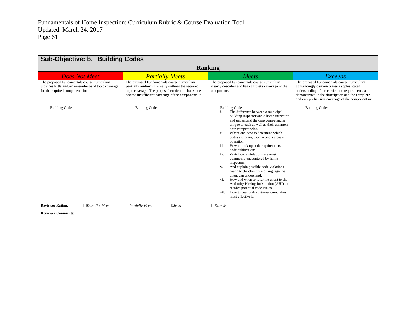| Sub-Objective: b. Building Codes                                                                                                       |                                                                                                                                                                                                           |                                                                                                                                                                                                                                                                                                                                                                                                                                                                                                                                                                                                                                                                                                                                                                                                                 |                                                                                                                                                                                                                                                    |
|----------------------------------------------------------------------------------------------------------------------------------------|-----------------------------------------------------------------------------------------------------------------------------------------------------------------------------------------------------------|-----------------------------------------------------------------------------------------------------------------------------------------------------------------------------------------------------------------------------------------------------------------------------------------------------------------------------------------------------------------------------------------------------------------------------------------------------------------------------------------------------------------------------------------------------------------------------------------------------------------------------------------------------------------------------------------------------------------------------------------------------------------------------------------------------------------|----------------------------------------------------------------------------------------------------------------------------------------------------------------------------------------------------------------------------------------------------|
| <b>Ranking</b>                                                                                                                         |                                                                                                                                                                                                           |                                                                                                                                                                                                                                                                                                                                                                                                                                                                                                                                                                                                                                                                                                                                                                                                                 |                                                                                                                                                                                                                                                    |
| <b>Does Not Meet</b>                                                                                                                   | <b>Partially Meets</b>                                                                                                                                                                                    | Meets                                                                                                                                                                                                                                                                                                                                                                                                                                                                                                                                                                                                                                                                                                                                                                                                           | <b>Exceeds</b>                                                                                                                                                                                                                                     |
| The proposed Fundamentals course curriculum<br>provides little and/or no evidence of topic coverage<br>for the required components in: | The proposed Fundamentals course curriculum<br>partially and/or minimally outlines the required<br>topic coverage. The proposed curriculum has some<br>and/or insufficient coverage of the components in: | The proposed Fundamentals course curriculum<br>clearly describes and has complete coverage of the<br>components in:                                                                                                                                                                                                                                                                                                                                                                                                                                                                                                                                                                                                                                                                                             | The proposed Fundamentals course curriculum<br>convincingly demonstrates a sophisticated<br>understanding of the curriculum requirements as<br>demonstrated in the description and the complete<br>and comprehensive coverage of the component in: |
| <b>Building Codes</b><br>b.                                                                                                            | <b>Building Codes</b><br>a.                                                                                                                                                                               | <b>Building Codes</b><br>a.<br>The difference between a municipal<br>i.<br>building inspector and a home inspector<br>and understand the core competencies<br>unique to each as well as their common<br>core competencies.<br>ii.<br>Where and how to determine which<br>codes are being used in one's areas of<br>operation.<br>How to look up code requirements in<br>iii.<br>code publications.<br>Which code violations are most<br>iv.<br>commonly encountered by home<br>inspectors.<br>And explain possible code violations<br>V.<br>found to the client using language the<br>client can understand.<br>How and when to refer the client to the<br>vi.<br>Authority Having Jurisdiction (AHJ) to<br>resolve potential code issues.<br>How to deal with customer complaints<br>vii.<br>most effectively. | <b>Building Codes</b><br>a.                                                                                                                                                                                                                        |
| <b>Reviewer Rating:</b><br>$\Box$ Does Not Meet                                                                                        | $\Box$ Meets<br>$\Box$ Partially Meets                                                                                                                                                                    | $\Box$ <i>Exceeds</i>                                                                                                                                                                                                                                                                                                                                                                                                                                                                                                                                                                                                                                                                                                                                                                                           |                                                                                                                                                                                                                                                    |
| <b>Reviewer Comments:</b>                                                                                                              |                                                                                                                                                                                                           |                                                                                                                                                                                                                                                                                                                                                                                                                                                                                                                                                                                                                                                                                                                                                                                                                 |                                                                                                                                                                                                                                                    |